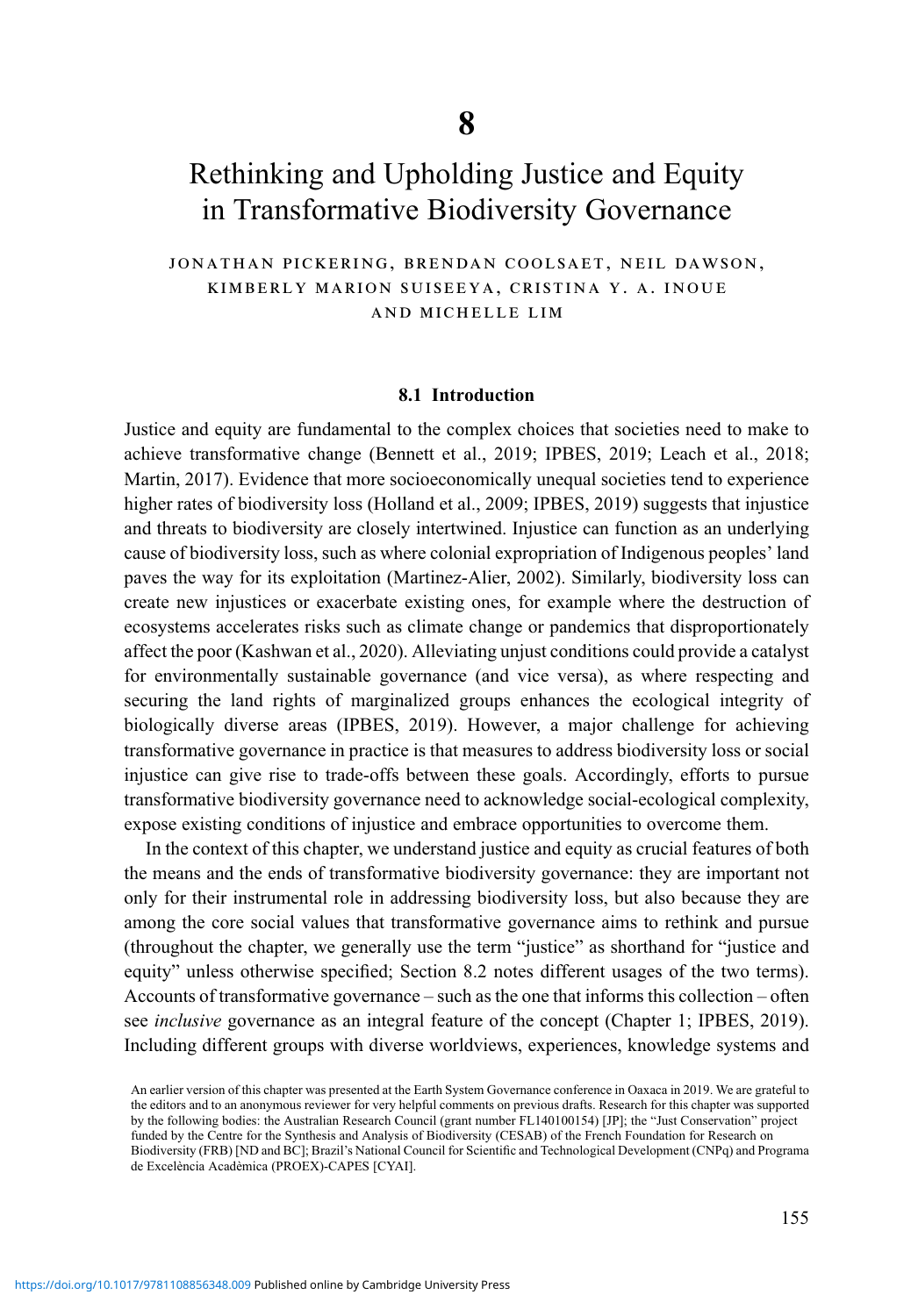# Rethinking and Upholding Justice and Equity in Transformative Biodiversity Governance

jonathan pickering, brendan coolsaet, neil dawson, kimberly marion suiseeya, cristina y. a. inoue and michelle lim

#### 8.1 Introduction

Justice and equity are fundamental to the complex choices that societies need to make to achieve transformative change (Bennett et al., 2019; IPBES, 2019; Leach et al., 2018; Martin, 2017). Evidence that more socioeconomically unequal societies tend to experience higher rates of biodiversity loss (Holland et al., 2009; IPBES, 2019) suggests that injustice and threats to biodiversity are closely intertwined. Injustice can function as an underlying cause of biodiversity loss, such as where colonial expropriation of Indigenous peoples' land paves the way for its exploitation (Martinez-Alier, 2002). Similarly, biodiversity loss can create new injustices or exacerbate existing ones, for example where the destruction of ecosystems accelerates risks such as climate change or pandemics that disproportionately affect the poor (Kashwan et al., 2020). Alleviating unjust conditions could provide a catalyst for environmentally sustainable governance (and vice versa), as where respecting and securing the land rights of marginalized groups enhances the ecological integrity of biologically diverse areas (IPBES, 2019). However, a major challenge for achieving transformative governance in practice is that measures to address biodiversity loss or social injustice can give rise to trade-offs between these goals. Accordingly, efforts to pursue transformative biodiversity governance need to acknowledge social-ecological complexity, expose existing conditions of injustice and embrace opportunities to overcome them.

In the context of this chapter, we understand justice and equity as crucial features of both the means and the ends of transformative biodiversity governance: they are important not only for their instrumental role in addressing biodiversity loss, but also because they are among the core social values that transformative governance aims to rethink and pursue (throughout the chapter, we generally use the term "justice" as shorthand for "justice and equity" unless otherwise specified; Section 8.2 notes different usages of the two terms). Accounts of transformative governance – such as the one that informs this collection – often see inclusive governance as an integral feature of the concept (Chapter 1; IPBES, 2019). Including different groups with diverse worldviews, experiences, knowledge systems and

An earlier version of this chapter was presented at the Earth System Governance conference in Oaxaca in 2019. We are grateful to the editors and to an anonymous reviewer for very helpful comments on previous drafts. Research for this chapter was supported by the following bodies: the Australian Research Council (grant number FL140100154) [JP]; the "Just Conservation" project funded by the Centre for the Synthesis and Analysis of Biodiversity (CESAB) of the French Foundation for Research on Biodiversity (FRB) [ND and BC]; Brazil's National Council for Scientific and Technological Development (CNPq) and Programa de Excelència Acadèmica (PROEX)-CAPES [CYAI].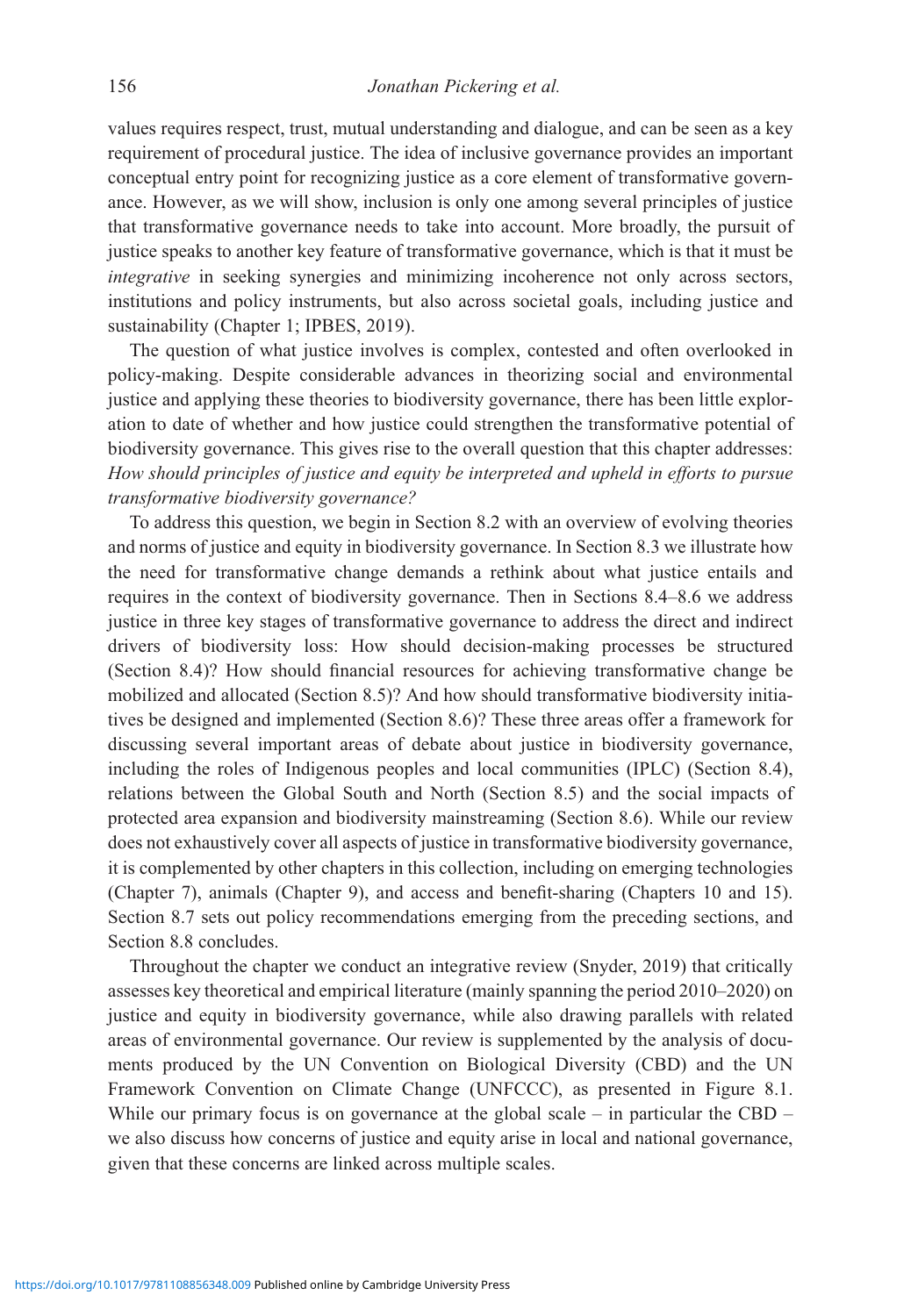values requires respect, trust, mutual understanding and dialogue, and can be seen as a key requirement of procedural justice. The idea of inclusive governance provides an important conceptual entry point for recognizing justice as a core element of transformative governance. However, as we will show, inclusion is only one among several principles of justice that transformative governance needs to take into account. More broadly, the pursuit of justice speaks to another key feature of transformative governance, which is that it must be integrative in seeking synergies and minimizing incoherence not only across sectors, institutions and policy instruments, but also across societal goals, including justice and sustainability (Chapter 1; IPBES, 2019).

The question of what justice involves is complex, contested and often overlooked in policy-making. Despite considerable advances in theorizing social and environmental justice and applying these theories to biodiversity governance, there has been little exploration to date of whether and how justice could strengthen the transformative potential of biodiversity governance. This gives rise to the overall question that this chapter addresses: How should principles of justice and equity be interpreted and upheld in efforts to pursue transformative biodiversity governance?

To address this question, we begin in Section 8.2 with an overview of evolving theories and norms of justice and equity in biodiversity governance. In Section 8.3 we illustrate how the need for transformative change demands a rethink about what justice entails and requires in the context of biodiversity governance. Then in Sections 8.4–8.6 we address justice in three key stages of transformative governance to address the direct and indirect drivers of biodiversity loss: How should decision-making processes be structured (Section 8.4)? How should financial resources for achieving transformative change be mobilized and allocated (Section 8.5)? And how should transformative biodiversity initiatives be designed and implemented (Section 8.6)? These three areas offer a framework for discussing several important areas of debate about justice in biodiversity governance, including the roles of Indigenous peoples and local communities (IPLC) (Section 8.4), relations between the Global South and North (Section 8.5) and the social impacts of protected area expansion and biodiversity mainstreaming (Section 8.6). While our review does not exhaustively cover all aspects of justice in transformative biodiversity governance, it is complemented by other chapters in this collection, including on emerging technologies (Chapter 7), animals (Chapter 9), and access and benefit-sharing (Chapters 10 and 15). Section 8.7 sets out policy recommendations emerging from the preceding sections, and Section 8.8 concludes.

Throughout the chapter we conduct an integrative review (Snyder, 2019) that critically assesses key theoretical and empirical literature (mainly spanning the period 2010–2020) on justice and equity in biodiversity governance, while also drawing parallels with related areas of environmental governance. Our review is supplemented by the analysis of documents produced by the UN Convention on Biological Diversity (CBD) and the UN Framework Convention on Climate Change (UNFCCC), as presented in Figure 8.1. While our primary focus is on governance at the global scale – in particular the CBD – we also discuss how concerns of justice and equity arise in local and national governance, given that these concerns are linked across multiple scales.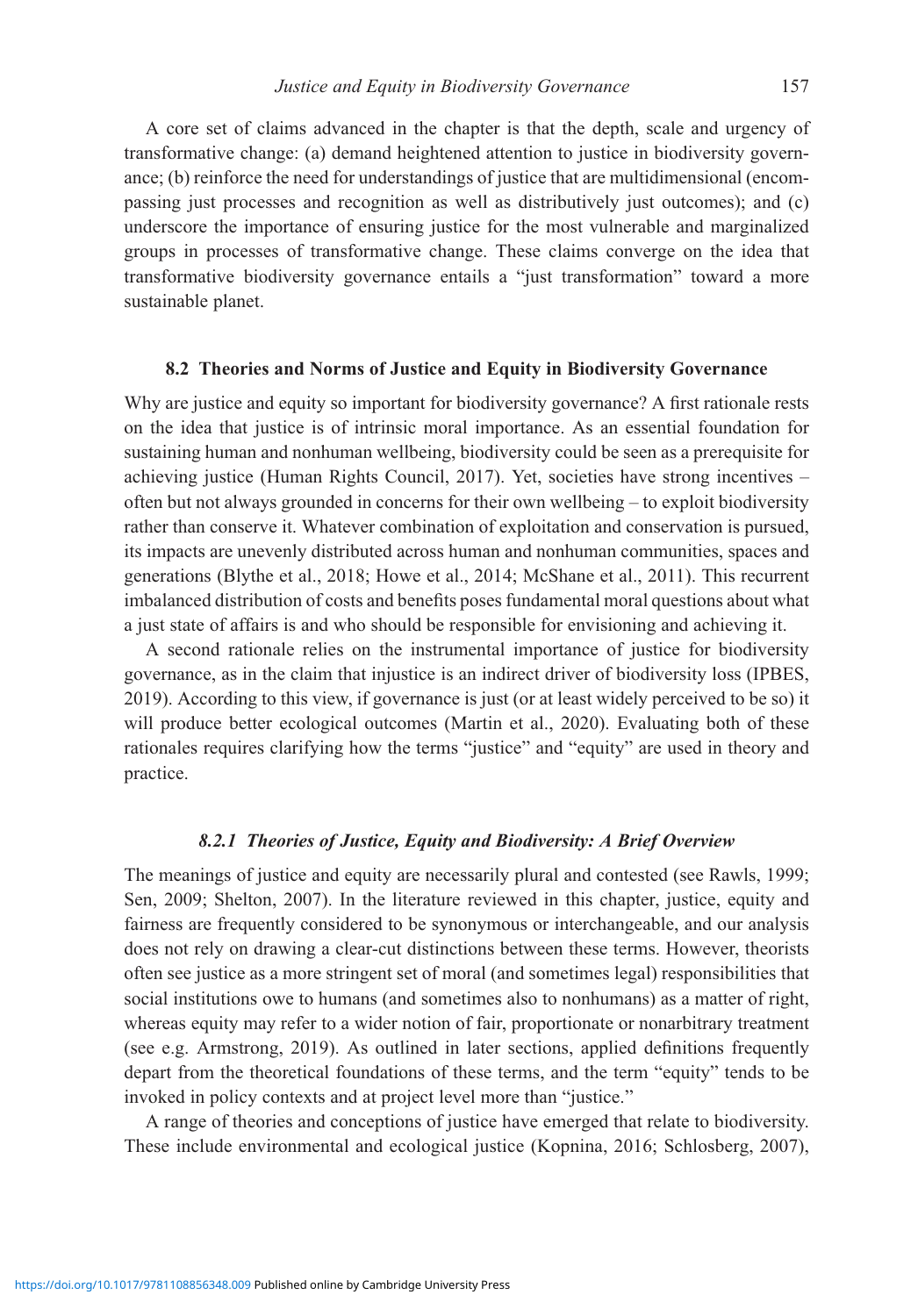A core set of claims advanced in the chapter is that the depth, scale and urgency of transformative change: (a) demand heightened attention to justice in biodiversity governance; (b) reinforce the need for understandings of justice that are multidimensional (encompassing just processes and recognition as well as distributively just outcomes); and (c) underscore the importance of ensuring justice for the most vulnerable and marginalized groups in processes of transformative change. These claims converge on the idea that transformative biodiversity governance entails a "just transformation" toward a more sustainable planet.

#### 8.2 Theories and Norms of Justice and Equity in Biodiversity Governance

Why are justice and equity so important for biodiversity governance? A first rationale rests on the idea that justice is of intrinsic moral importance. As an essential foundation for sustaining human and nonhuman wellbeing, biodiversity could be seen as a prerequisite for achieving justice (Human Rights Council, 2017). Yet, societies have strong incentives – often but not always grounded in concerns for their own wellbeing – to exploit biodiversity rather than conserve it. Whatever combination of exploitation and conservation is pursued, its impacts are unevenly distributed across human and nonhuman communities, spaces and generations (Blythe et al., 2018; Howe et al., 2014; McShane et al., 2011). This recurrent imbalanced distribution of costs and benefits poses fundamental moral questions about what a just state of affairs is and who should be responsible for envisioning and achieving it.

A second rationale relies on the instrumental importance of justice for biodiversity governance, as in the claim that injustice is an indirect driver of biodiversity loss (IPBES, 2019). According to this view, if governance is just (or at least widely perceived to be so) it will produce better ecological outcomes (Martin et al., 2020). Evaluating both of these rationales requires clarifying how the terms "justice" and "equity" are used in theory and practice.

### 8.2.1 Theories of Justice, Equity and Biodiversity: A Brief Overview

The meanings of justice and equity are necessarily plural and contested (see Rawls, 1999; Sen, 2009; Shelton, 2007). In the literature reviewed in this chapter, justice, equity and fairness are frequently considered to be synonymous or interchangeable, and our analysis does not rely on drawing a clear-cut distinctions between these terms. However, theorists often see justice as a more stringent set of moral (and sometimes legal) responsibilities that social institutions owe to humans (and sometimes also to nonhumans) as a matter of right, whereas equity may refer to a wider notion of fair, proportionate or nonarbitrary treatment (see e.g. Armstrong, 2019). As outlined in later sections, applied definitions frequently depart from the theoretical foundations of these terms, and the term "equity" tends to be invoked in policy contexts and at project level more than "justice."

A range of theories and conceptions of justice have emerged that relate to biodiversity. These include environmental and ecological justice (Kopnina, 2016; Schlosberg, 2007),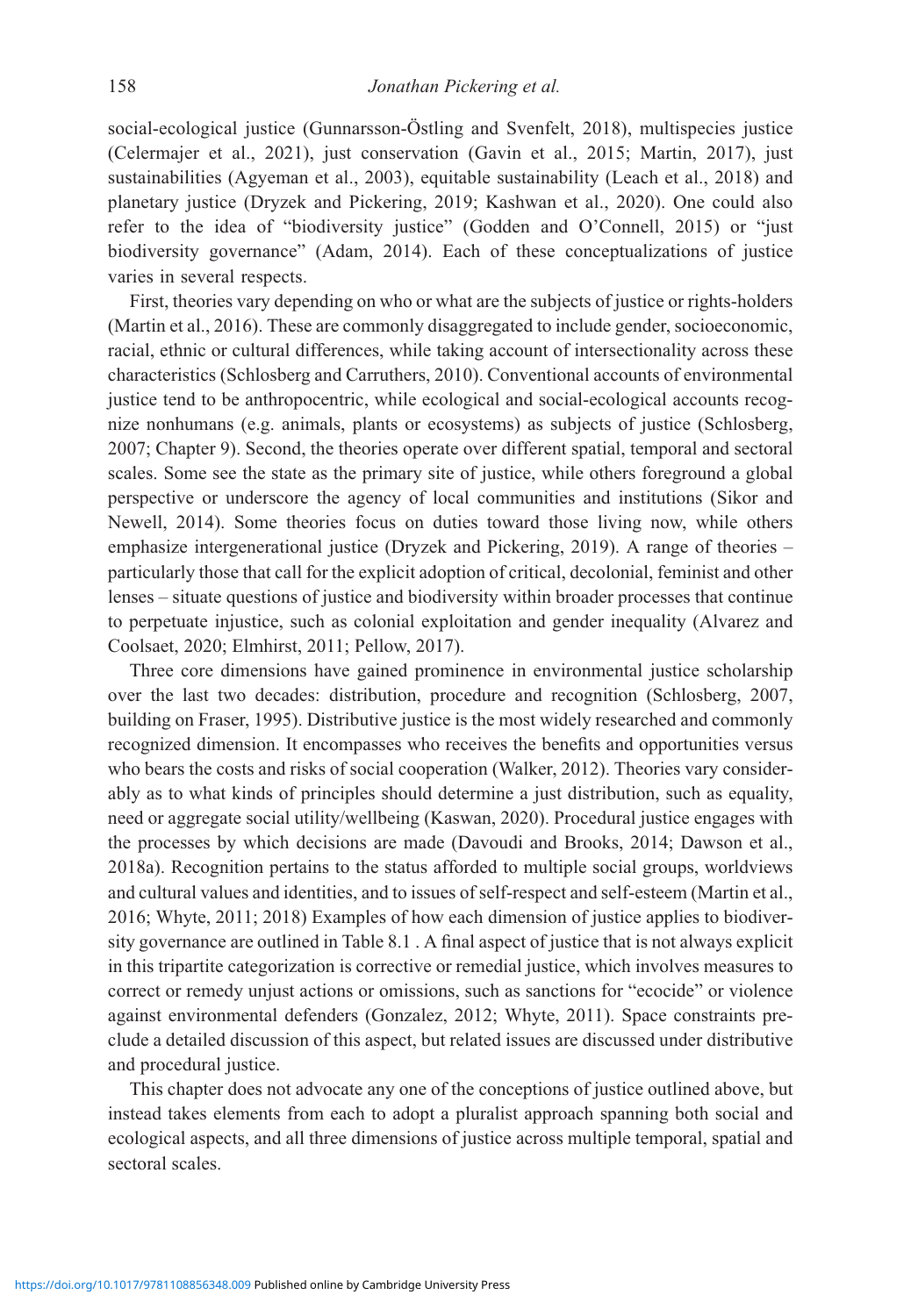social-ecological justice (Gunnarsson-Östling and Svenfelt, 2018), multispecies justice (Celermajer et al., 2021), just conservation (Gavin et al., 2015; Martin, 2017), just sustainabilities (Agyeman et al., 2003), equitable sustainability (Leach et al., 2018) and planetary justice (Dryzek and Pickering, 2019; Kashwan et al., 2020). One could also refer to the idea of "biodiversity justice" (Godden and O'Connell, 2015) or "just biodiversity governance" (Adam, 2014). Each of these conceptualizations of justice varies in several respects.

First, theories vary depending on who or what are the subjects of justice or rights-holders (Martin et al., 2016). These are commonly disaggregated to include gender, socioeconomic, racial, ethnic or cultural differences, while taking account of intersectionality across these characteristics (Schlosberg and Carruthers, 2010). Conventional accounts of environmental justice tend to be anthropocentric, while ecological and social-ecological accounts recognize nonhumans (e.g. animals, plants or ecosystems) as subjects of justice (Schlosberg, 2007; Chapter 9). Second, the theories operate over different spatial, temporal and sectoral scales. Some see the state as the primary site of justice, while others foreground a global perspective or underscore the agency of local communities and institutions (Sikor and Newell, 2014). Some theories focus on duties toward those living now, while others emphasize intergenerational justice (Dryzek and Pickering, 2019). A range of theories – particularly those that call for the explicit adoption of critical, decolonial, feminist and other lenses – situate questions of justice and biodiversity within broader processes that continue to perpetuate injustice, such as colonial exploitation and gender inequality (Alvarez and Coolsaet, 2020; Elmhirst, 2011; Pellow, 2017).

Three core dimensions have gained prominence in environmental justice scholarship over the last two decades: distribution, procedure and recognition (Schlosberg, 2007, building on Fraser, 1995). Distributive justice is the most widely researched and commonly recognized dimension. It encompasses who receives the benefits and opportunities versus who bears the costs and risks of social cooperation (Walker, 2012). Theories vary considerably as to what kinds of principles should determine a just distribution, such as equality, need or aggregate social utility/wellbeing (Kaswan, 2020). Procedural justice engages with the processes by which decisions are made (Davoudi and Brooks, 2014; Dawson et al., 2018a). Recognition pertains to the status afforded to multiple social groups, worldviews and cultural values and identities, and to issues of self-respect and self-esteem (Martin et al., 2016; Whyte, 2011; 2018) Examples of how each dimension of justice applies to biodiversity governance are outlined in Table 8.1 . A final aspect of justice that is not always explicit in this tripartite categorization is corrective or remedial justice, which involves measures to correct or remedy unjust actions or omissions, such as sanctions for "ecocide" or violence against environmental defenders (Gonzalez, 2012; Whyte, 2011). Space constraints preclude a detailed discussion of this aspect, but related issues are discussed under distributive and procedural justice.

This chapter does not advocate any one of the conceptions of justice outlined above, but instead takes elements from each to adopt a pluralist approach spanning both social and ecological aspects, and all three dimensions of justice across multiple temporal, spatial and sectoral scales.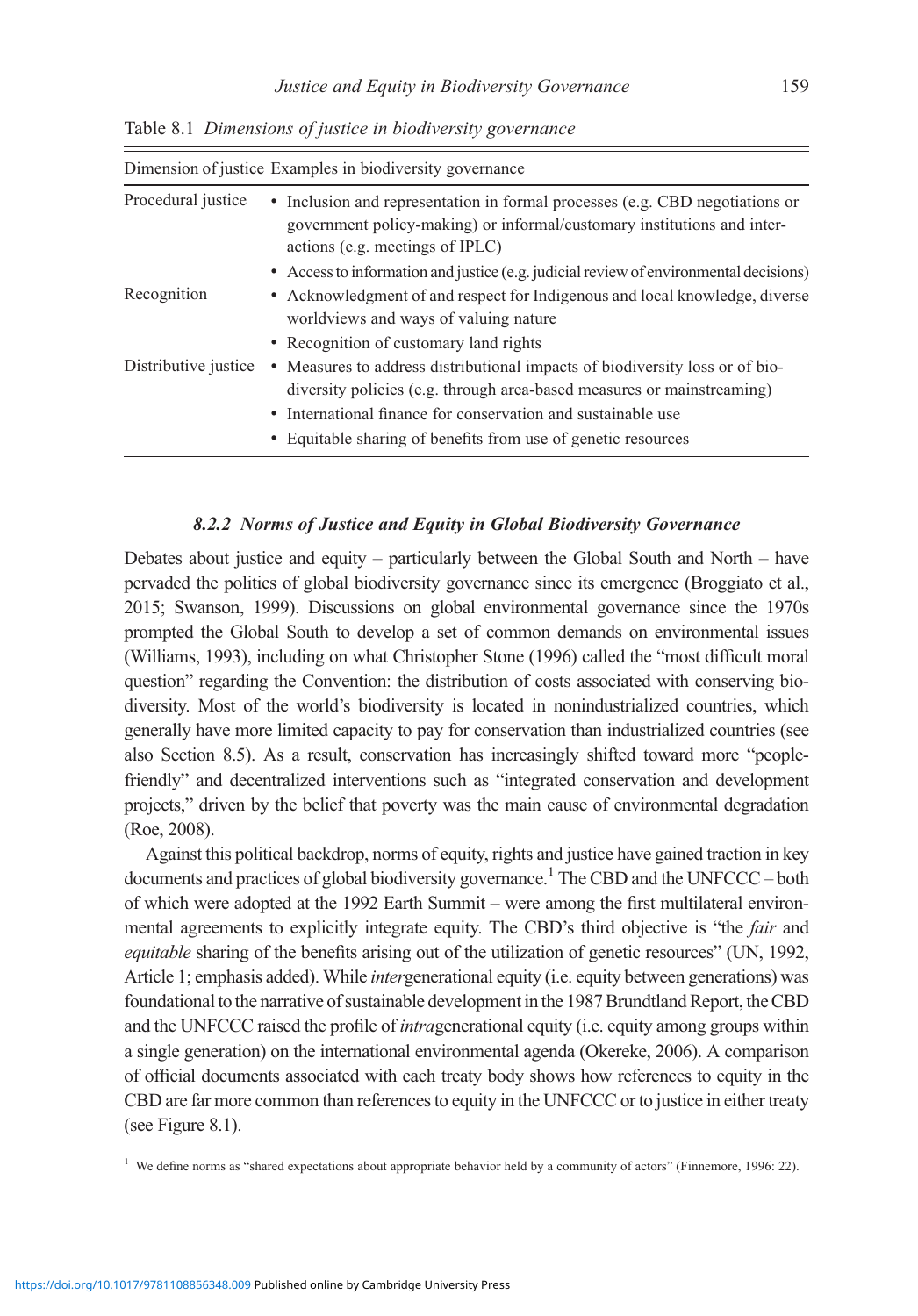| Dimension of justice Examples in biodiversity governance |                                                                                                                                                                                            |
|----------------------------------------------------------|--------------------------------------------------------------------------------------------------------------------------------------------------------------------------------------------|
| Procedural justice                                       | • Inclusion and representation in formal processes (e.g. CBD negotiations or<br>government policy-making) or informal/customary institutions and inter-<br>actions (e.g. meetings of IPLC) |
|                                                          | • Access to information and justice (e.g. judicial review of environmental decisions)                                                                                                      |
| Recognition                                              | • Acknowledgment of and respect for Indigenous and local knowledge, diverse<br>worldviews and ways of valuing nature                                                                       |
|                                                          | • Recognition of customary land rights                                                                                                                                                     |
| Distributive justice                                     | • Measures to address distributional impacts of biodiversity loss or of bio-<br>diversity policies (e.g. through area-based measures or mainstreaming)                                     |
|                                                          | • International finance for conservation and sustainable use                                                                                                                               |
|                                                          | • Equitable sharing of benefits from use of genetic resources                                                                                                                              |

Table 8.1 Dimensions of justice in biodiversity governance

#### 8.2.2 Norms of Justice and Equity in Global Biodiversity Governance

Debates about justice and equity – particularly between the Global South and North – have pervaded the politics of global biodiversity governance since its emergence (Broggiato et al., 2015; Swanson, 1999). Discussions on global environmental governance since the 1970s prompted the Global South to develop a set of common demands on environmental issues (Williams, 1993), including on what Christopher Stone (1996) called the "most difficult moral question" regarding the Convention: the distribution of costs associated with conserving biodiversity. Most of the world's biodiversity is located in nonindustrialized countries, which generally have more limited capacity to pay for conservation than industrialized countries (see also Section 8.5). As a result, conservation has increasingly shifted toward more "peoplefriendly" and decentralized interventions such as "integrated conservation and development projects," driven by the belief that poverty was the main cause of environmental degradation (Roe, 2008).

Against this political backdrop, norms of equity, rights and justice have gained traction in key documents and practices of global biodiversity governance.<sup>1</sup> The CBD and the UNFCCC – both of which were adopted at the 1992 Earth Summit – were among the first multilateral environmental agreements to explicitly integrate equity. The CBD's third objective is "the fair and equitable sharing of the benefits arising out of the utilization of genetic resources" (UN, 1992, Article 1; emphasis added). While intergenerational equity (i.e. equity between generations) was foundational to the narrative of sustainable development in the 1987 Brundtland Report, the CBD and the UNFCCC raised the profile of intragenerational equity (i.e. equity among groups within a single generation) on the international environmental agenda (Okereke, 2006). A comparison of official documents associated with each treaty body shows how references to equity in the CBD are far more common than references to equity in the UNFCCC or to justice in either treaty (see Figure 8.1).

<sup>1</sup> We define norms as "shared expectations about appropriate behavior held by a community of actors" (Finnemore, 1996: 22).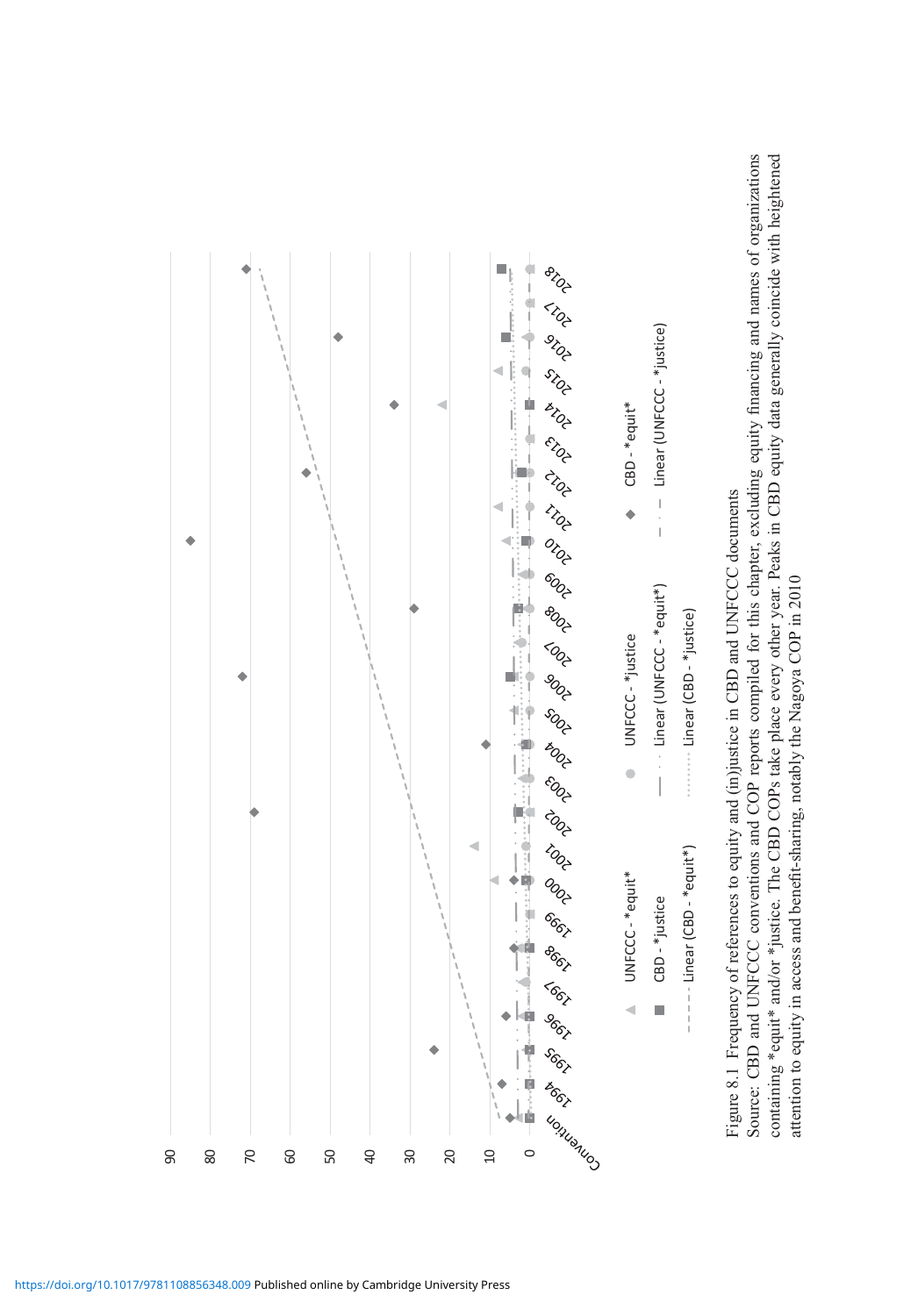

Figure 8.1 Frequency of references to equity and (in)justice in CBD and UNFCCC documents Figure 8.1 Frequency of references to equity and (in)justice in CBD and UNFCCC documents

Source: CBD and UNFCCC conventions and COP reports compiled for this chapter, excluding equity financing and names of organizations containing \*equit\* and/or \*justice. The CBD COPs take place every other year. Peaks in CBD equity data generally coincide with heightened Source: CBD and UNFCCC conventions and COP reports compiled for this chapter, excluding equity financing and names of organizations containing \*equit\* and/or \*justice. The CBD COPs take place every other year. Peaks in CBD equity data generally coincide with heightened attention to equity in access and benefit-sharing, notably the Nagoya COP in 2010 attention to equity in access and benefit-sharing, notably the Nagoya COP in 2010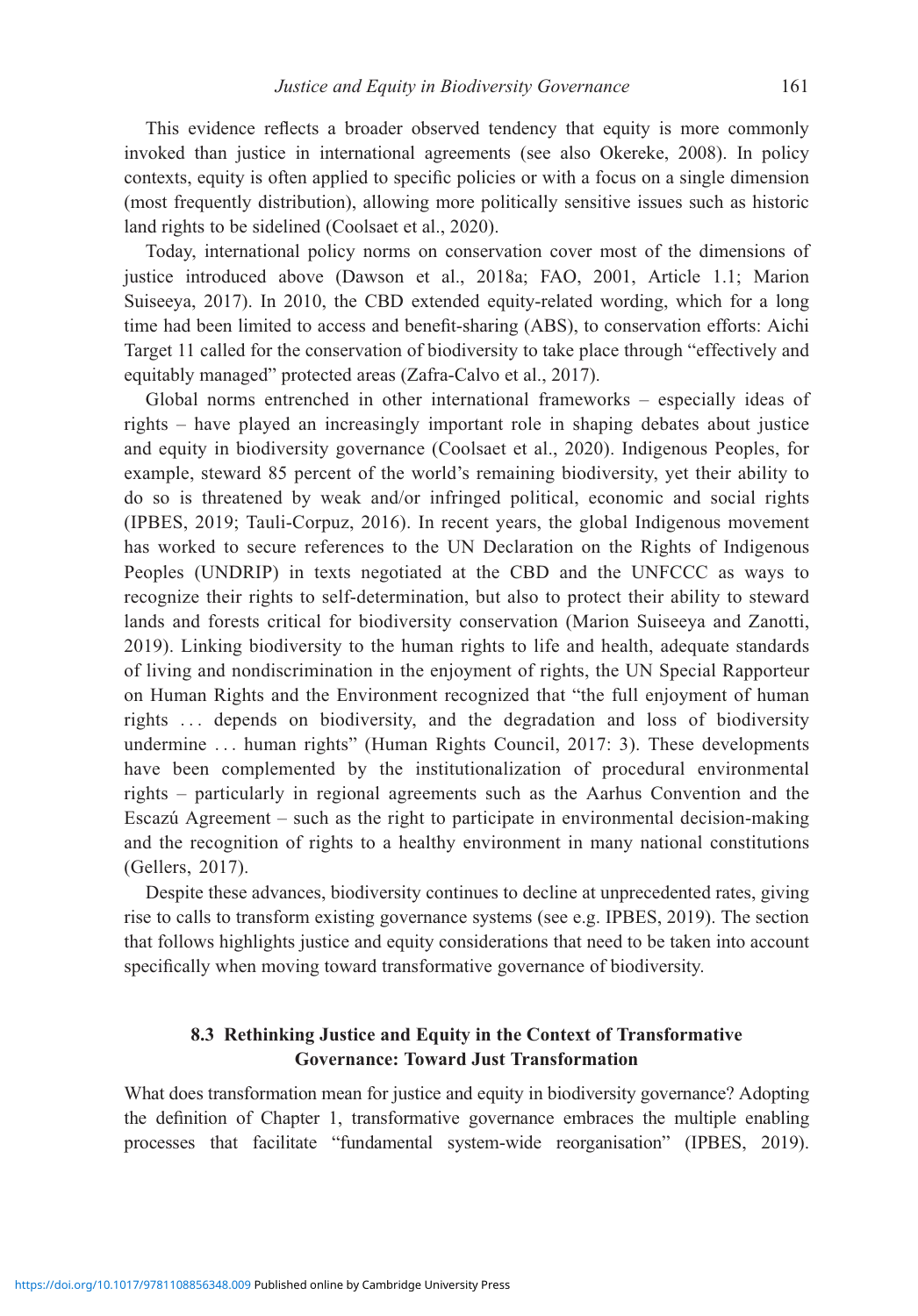This evidence reflects a broader observed tendency that equity is more commonly invoked than justice in international agreements (see also Okereke, 2008). In policy contexts, equity is often applied to specific policies or with a focus on a single dimension (most frequently distribution), allowing more politically sensitive issues such as historic land rights to be sidelined (Coolsaet et al., 2020).

Today, international policy norms on conservation cover most of the dimensions of justice introduced above (Dawson et al., 2018a; FAO, 2001, Article 1.1; Marion Suiseeya, 2017). In 2010, the CBD extended equity-related wording, which for a long time had been limited to access and benefit-sharing (ABS), to conservation efforts: Aichi Target 11 called for the conservation of biodiversity to take place through "effectively and equitably managed" protected areas (Zafra-Calvo et al., 2017).

Global norms entrenched in other international frameworks – especially ideas of rights – have played an increasingly important role in shaping debates about justice and equity in biodiversity governance (Coolsaet et al., 2020). Indigenous Peoples, for example, steward 85 percent of the world's remaining biodiversity, yet their ability to do so is threatened by weak and/or infringed political, economic and social rights (IPBES, 2019; Tauli-Corpuz, 2016). In recent years, the global Indigenous movement has worked to secure references to the UN Declaration on the Rights of Indigenous Peoples (UNDRIP) in texts negotiated at the CBD and the UNFCCC as ways to recognize their rights to self-determination, but also to protect their ability to steward lands and forests critical for biodiversity conservation (Marion Suiseeya and Zanotti, 2019). Linking biodiversity to the human rights to life and health, adequate standards of living and nondiscrimination in the enjoyment of rights, the UN Special Rapporteur on Human Rights and the Environment recognized that "the full enjoyment of human rights ... depends on biodiversity, and the degradation and loss of biodiversity undermine ... human rights" (Human Rights Council, 2017: 3). These developments have been complemented by the institutionalization of procedural environmental rights – particularly in regional agreements such as the Aarhus Convention and the Escazú Agreement – such as the right to participate in environmental decision-making and the recognition of rights to a healthy environment in many national constitutions (Gellers, 2017).

Despite these advances, biodiversity continues to decline at unprecedented rates, giving rise to calls to transform existing governance systems (see e.g. IPBES, 2019). The section that follows highlights justice and equity considerations that need to be taken into account specifically when moving toward transformative governance of biodiversity.

# 8.3 Rethinking Justice and Equity in the Context of Transformative Governance: Toward Just Transformation

What does transformation mean for justice and equity in biodiversity governance? Adopting the definition of Chapter 1, transformative governance embraces the multiple enabling processes that facilitate "fundamental system-wide reorganisation" (IPBES, 2019).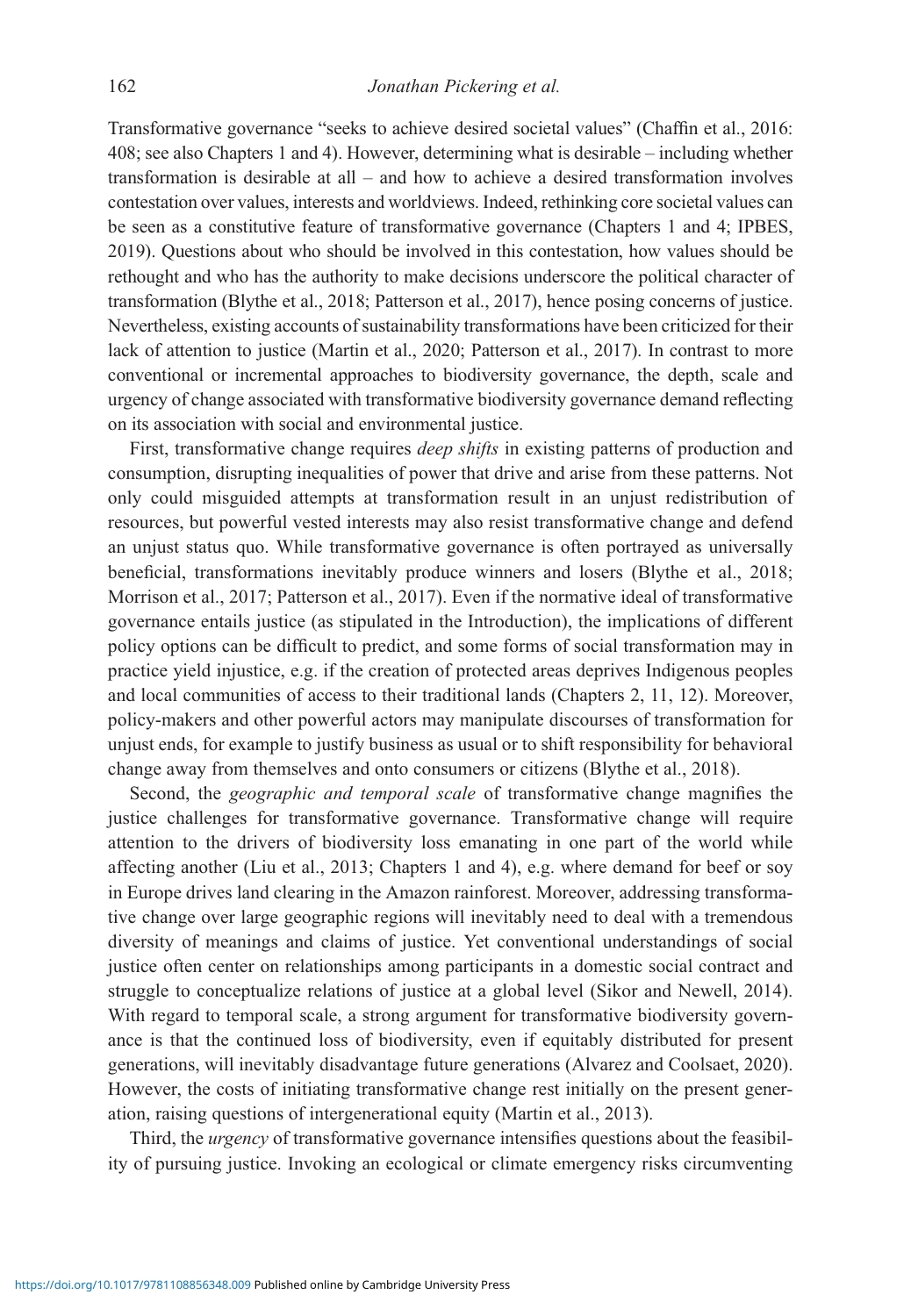Transformative governance "seeks to achieve desired societal values" (Chaffin et al., 2016: 408; see also Chapters 1 and 4). However, determining what is desirable – including whether transformation is desirable at all – and how to achieve a desired transformation involves contestation over values, interests and worldviews. Indeed, rethinking core societal values can be seen as a constitutive feature of transformative governance (Chapters 1 and 4; IPBES, 2019). Questions about who should be involved in this contestation, how values should be rethought and who has the authority to make decisions underscore the political character of transformation (Blythe et al., 2018; Patterson et al., 2017), hence posing concerns of justice. Nevertheless, existing accounts of sustainability transformations have been criticized for their lack of attention to justice (Martin et al., 2020; Patterson et al., 2017). In contrast to more conventional or incremental approaches to biodiversity governance, the depth, scale and urgency of change associated with transformative biodiversity governance demand reflecting on its association with social and environmental justice.

First, transformative change requires *deep shifts* in existing patterns of production and consumption, disrupting inequalities of power that drive and arise from these patterns. Not only could misguided attempts at transformation result in an unjust redistribution of resources, but powerful vested interests may also resist transformative change and defend an unjust status quo. While transformative governance is often portrayed as universally beneficial, transformations inevitably produce winners and losers (Blythe et al., 2018; Morrison et al., 2017; Patterson et al., 2017). Even if the normative ideal of transformative governance entails justice (as stipulated in the Introduction), the implications of different policy options can be difficult to predict, and some forms of social transformation may in practice yield injustice, e.g. if the creation of protected areas deprives Indigenous peoples and local communities of access to their traditional lands (Chapters 2, 11, 12). Moreover, policy-makers and other powerful actors may manipulate discourses of transformation for unjust ends, for example to justify business as usual or to shift responsibility for behavioral change away from themselves and onto consumers or citizens (Blythe et al., 2018).

Second, the geographic and temporal scale of transformative change magnifies the justice challenges for transformative governance. Transformative change will require attention to the drivers of biodiversity loss emanating in one part of the world while affecting another (Liu et al., 2013; Chapters 1 and 4), e.g. where demand for beef or soy in Europe drives land clearing in the Amazon rainforest. Moreover, addressing transformative change over large geographic regions will inevitably need to deal with a tremendous diversity of meanings and claims of justice. Yet conventional understandings of social justice often center on relationships among participants in a domestic social contract and struggle to conceptualize relations of justice at a global level (Sikor and Newell, 2014). With regard to temporal scale, a strong argument for transformative biodiversity governance is that the continued loss of biodiversity, even if equitably distributed for present generations, will inevitably disadvantage future generations (Alvarez and Coolsaet, 2020). However, the costs of initiating transformative change rest initially on the present generation, raising questions of intergenerational equity (Martin et al., 2013).

Third, the urgency of transformative governance intensifies questions about the feasibility of pursuing justice. Invoking an ecological or climate emergency risks circumventing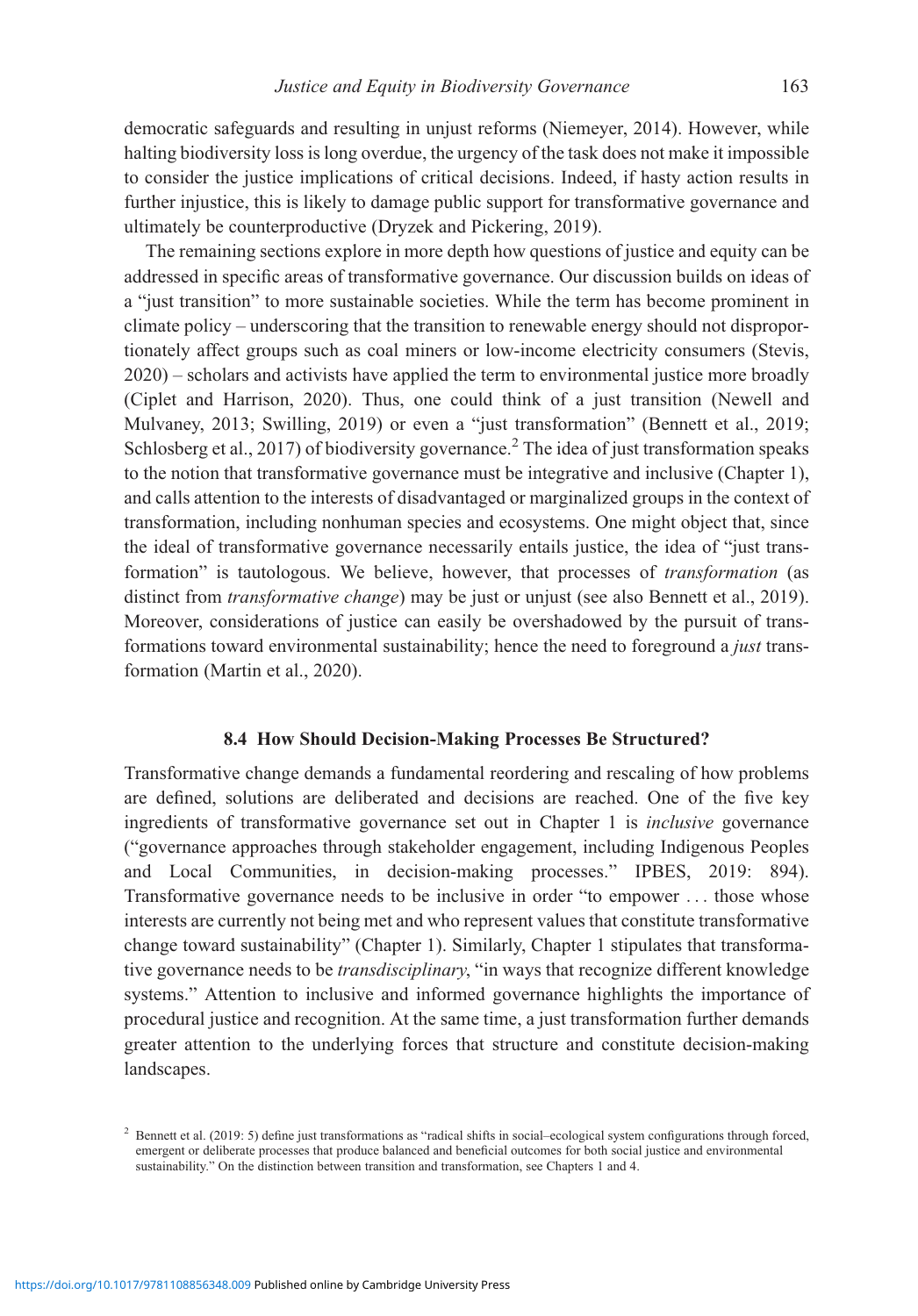democratic safeguards and resulting in unjust reforms (Niemeyer, 2014). However, while halting biodiversity loss is long overdue, the urgency of the task does not make it impossible to consider the justice implications of critical decisions. Indeed, if hasty action results in further injustice, this is likely to damage public support for transformative governance and ultimately be counterproductive (Dryzek and Pickering, 2019).

The remaining sections explore in more depth how questions of justice and equity can be addressed in specific areas of transformative governance. Our discussion builds on ideas of a "just transition" to more sustainable societies. While the term has become prominent in climate policy – underscoring that the transition to renewable energy should not disproportionately affect groups such as coal miners or low-income electricity consumers (Stevis, 2020) – scholars and activists have applied the term to environmental justice more broadly (Ciplet and Harrison, 2020). Thus, one could think of a just transition (Newell and Mulvaney, 2013; Swilling, 2019) or even a "just transformation" (Bennett et al., 2019; Schlosberg et al., 2017) of biodiversity governance.<sup>2</sup> The idea of just transformation speaks to the notion that transformative governance must be integrative and inclusive (Chapter 1), and calls attention to the interests of disadvantaged or marginalized groups in the context of transformation, including nonhuman species and ecosystems. One might object that, since the ideal of transformative governance necessarily entails justice, the idea of "just transformation" is tautologous. We believe, however, that processes of transformation (as distinct from *transformative change*) may be just or unjust (see also Bennett et al., 2019). Moreover, considerations of justice can easily be overshadowed by the pursuit of transformations toward environmental sustainability; hence the need to foreground a *just* transformation (Martin et al., 2020).

#### 8.4 How Should Decision-Making Processes Be Structured?

Transformative change demands a fundamental reordering and rescaling of how problems are defined, solutions are deliberated and decisions are reached. One of the five key ingredients of transformative governance set out in Chapter 1 is inclusive governance ("governance approaches through stakeholder engagement, including Indigenous Peoples and Local Communities, in decision-making processes." IPBES, 2019: 894). Transformative governance needs to be inclusive in order "to empower ... those whose interests are currently not being met and who represent values that constitute transformative change toward sustainability" (Chapter 1). Similarly, Chapter 1 stipulates that transformative governance needs to be *transdisciplinary*, "in ways that recognize different knowledge systems." Attention to inclusive and informed governance highlights the importance of procedural justice and recognition. At the same time, a just transformation further demands greater attention to the underlying forces that structure and constitute decision-making landscapes.

<sup>2</sup> Bennett et al. (2019: 5) define just transformations as "radical shifts in social–ecological system configurations through forced, emergent or deliberate processes that produce balanced and beneficial outcomes for both social justice and environmental sustainability." On the distinction between transition and transformation, see Chapters 1 and 4.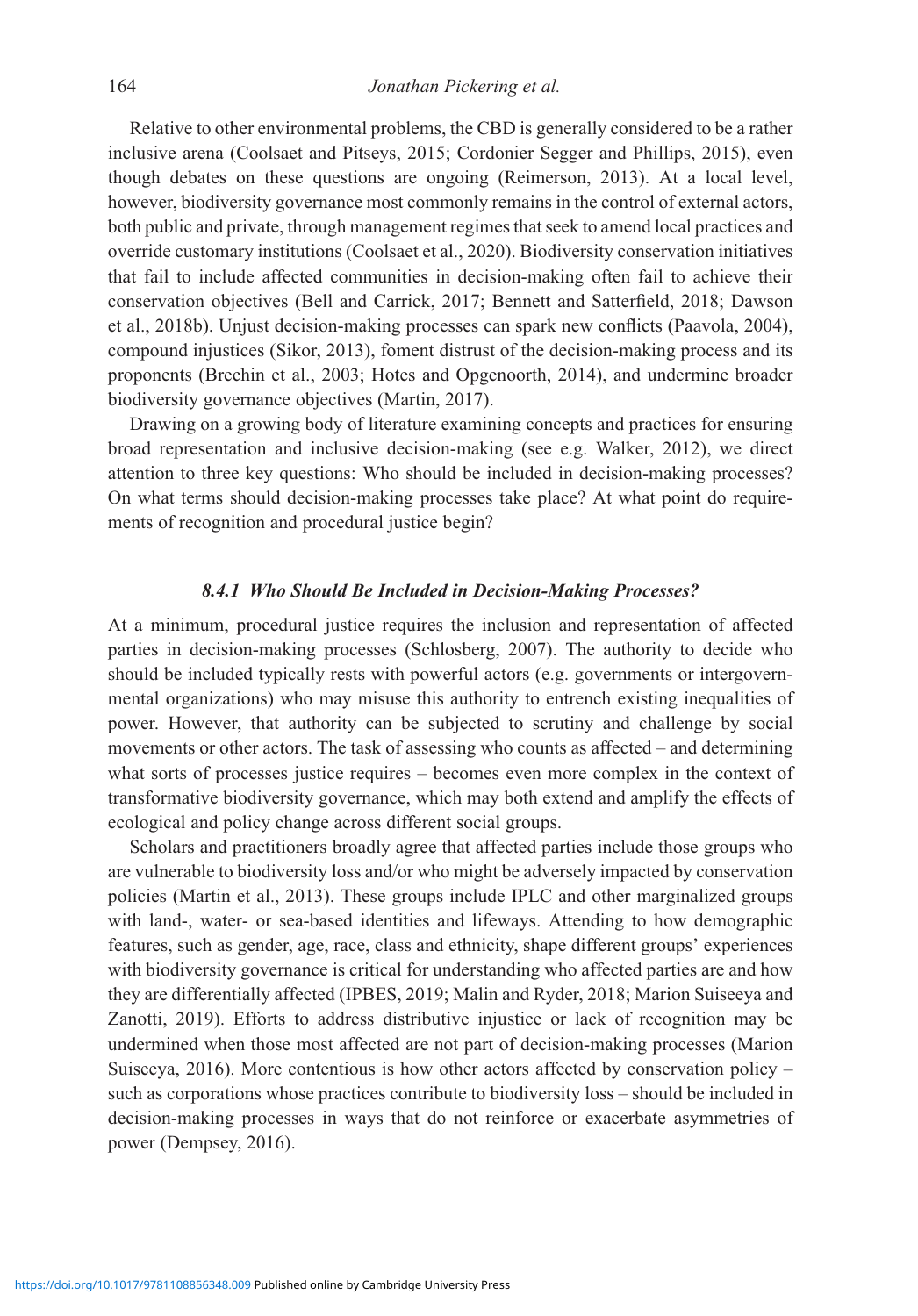Relative to other environmental problems, the CBD is generally considered to be a rather inclusive arena (Coolsaet and Pitseys, 2015; Cordonier Segger and Phillips, 2015), even though debates on these questions are ongoing (Reimerson, 2013). At a local level, however, biodiversity governance most commonly remains in the control of external actors, both public and private, through management regimes that seek to amend local practices and override customary institutions (Coolsaet et al., 2020). Biodiversity conservation initiatives that fail to include affected communities in decision-making often fail to achieve their conservation objectives (Bell and Carrick, 2017; Bennett and Satterfield, 2018; Dawson et al., 2018b). Unjust decision-making processes can spark new conflicts (Paavola, 2004), compound injustices (Sikor, 2013), foment distrust of the decision-making process and its proponents (Brechin et al., 2003; Hotes and Opgenoorth, 2014), and undermine broader biodiversity governance objectives (Martin, 2017).

Drawing on a growing body of literature examining concepts and practices for ensuring broad representation and inclusive decision-making (see e.g. Walker, 2012), we direct attention to three key questions: Who should be included in decision-making processes? On what terms should decision-making processes take place? At what point do requirements of recognition and procedural justice begin?

#### 8.4.1 Who Should Be Included in Decision-Making Processes?

At a minimum, procedural justice requires the inclusion and representation of affected parties in decision-making processes (Schlosberg, 2007). The authority to decide who should be included typically rests with powerful actors (e.g. governments or intergovernmental organizations) who may misuse this authority to entrench existing inequalities of power. However, that authority can be subjected to scrutiny and challenge by social movements or other actors. The task of assessing who counts as affected – and determining what sorts of processes justice requires – becomes even more complex in the context of transformative biodiversity governance, which may both extend and amplify the effects of ecological and policy change across different social groups.

Scholars and practitioners broadly agree that affected parties include those groups who are vulnerable to biodiversity loss and/or who might be adversely impacted by conservation policies (Martin et al., 2013). These groups include IPLC and other marginalized groups with land-, water- or sea-based identities and lifeways. Attending to how demographic features, such as gender, age, race, class and ethnicity, shape different groups' experiences with biodiversity governance is critical for understanding who affected parties are and how they are differentially affected (IPBES, 2019; Malin and Ryder, 2018; Marion Suiseeya and Zanotti, 2019). Efforts to address distributive injustice or lack of recognition may be undermined when those most affected are not part of decision-making processes (Marion Suiseeya, 2016). More contentious is how other actors affected by conservation policy – such as corporations whose practices contribute to biodiversity loss – should be included in decision-making processes in ways that do not reinforce or exacerbate asymmetries of power (Dempsey, 2016).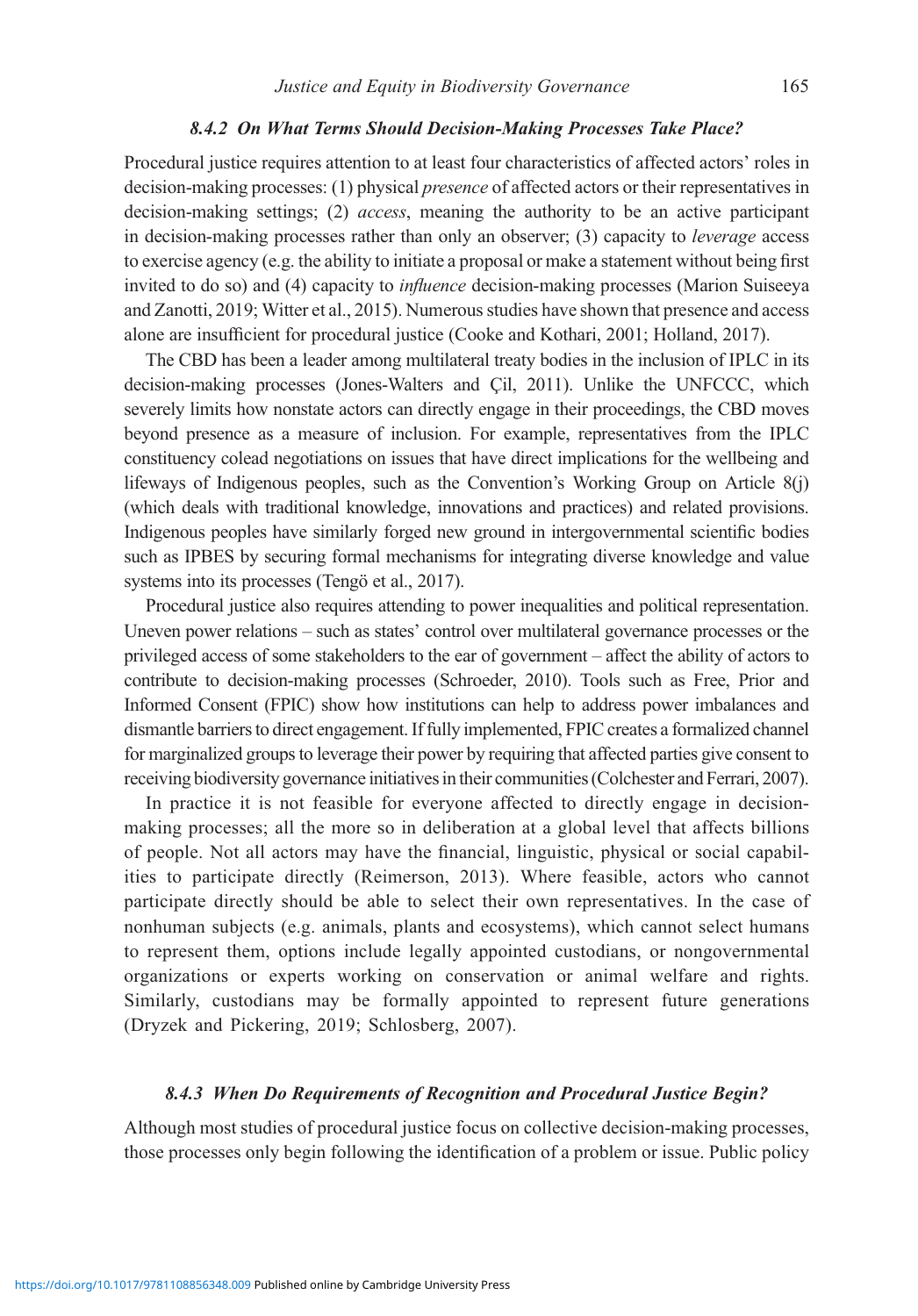#### 8.4.2 On What Terms Should Decision-Making Processes Take Place?

Procedural justice requires attention to at least four characteristics of affected actors' roles in decision-making processes: (1) physical presence of affected actors or their representatives in decision-making settings; (2) access, meaning the authority to be an active participant in decision-making processes rather than only an observer; (3) capacity to leverage access to exercise agency (e.g. the ability to initiate a proposal or make a statement without being first invited to do so) and (4) capacity to influence decision-making processes (Marion Suiseeya and Zanotti, 2019; Witter et al., 2015). Numerous studies have shown that presence and access alone are insufficient for procedural justice (Cooke and Kothari, 2001; Holland, 2017).

The CBD has been a leader among multilateral treaty bodies in the inclusion of IPLC in its decision-making processes (Jones-Walters and Çil, 2011). Unlike the UNFCCC, which severely limits how nonstate actors can directly engage in their proceedings, the CBD moves beyond presence as a measure of inclusion. For example, representatives from the IPLC constituency colead negotiations on issues that have direct implications for the wellbeing and lifeways of Indigenous peoples, such as the Convention's Working Group on Article 8(j) (which deals with traditional knowledge, innovations and practices) and related provisions. Indigenous peoples have similarly forged new ground in intergovernmental scientific bodies such as IPBES by securing formal mechanisms for integrating diverse knowledge and value systems into its processes (Tengö et al., 2017).

Procedural justice also requires attending to power inequalities and political representation. Uneven power relations – such as states' control over multilateral governance processes or the privileged access of some stakeholders to the ear of government – affect the ability of actors to contribute to decision-making processes (Schroeder, 2010). Tools such as Free, Prior and Informed Consent (FPIC) show how institutions can help to address power imbalances and dismantle barriers to direct engagement. If fully implemented, FPIC creates a formalized channel for marginalized groups to leverage their power by requiring that affected parties give consent to receiving biodiversity governance initiatives in their communities (Colchester and Ferrari, 2007).

In practice it is not feasible for everyone affected to directly engage in decisionmaking processes; all the more so in deliberation at a global level that affects billions of people. Not all actors may have the financial, linguistic, physical or social capabilities to participate directly (Reimerson, 2013). Where feasible, actors who cannot participate directly should be able to select their own representatives. In the case of nonhuman subjects (e.g. animals, plants and ecosystems), which cannot select humans to represent them, options include legally appointed custodians, or nongovernmental organizations or experts working on conservation or animal welfare and rights. Similarly, custodians may be formally appointed to represent future generations (Dryzek and Pickering, 2019; Schlosberg, 2007).

## 8.4.3 When Do Requirements of Recognition and Procedural Justice Begin?

Although most studies of procedural justice focus on collective decision-making processes, those processes only begin following the identification of a problem or issue. Public policy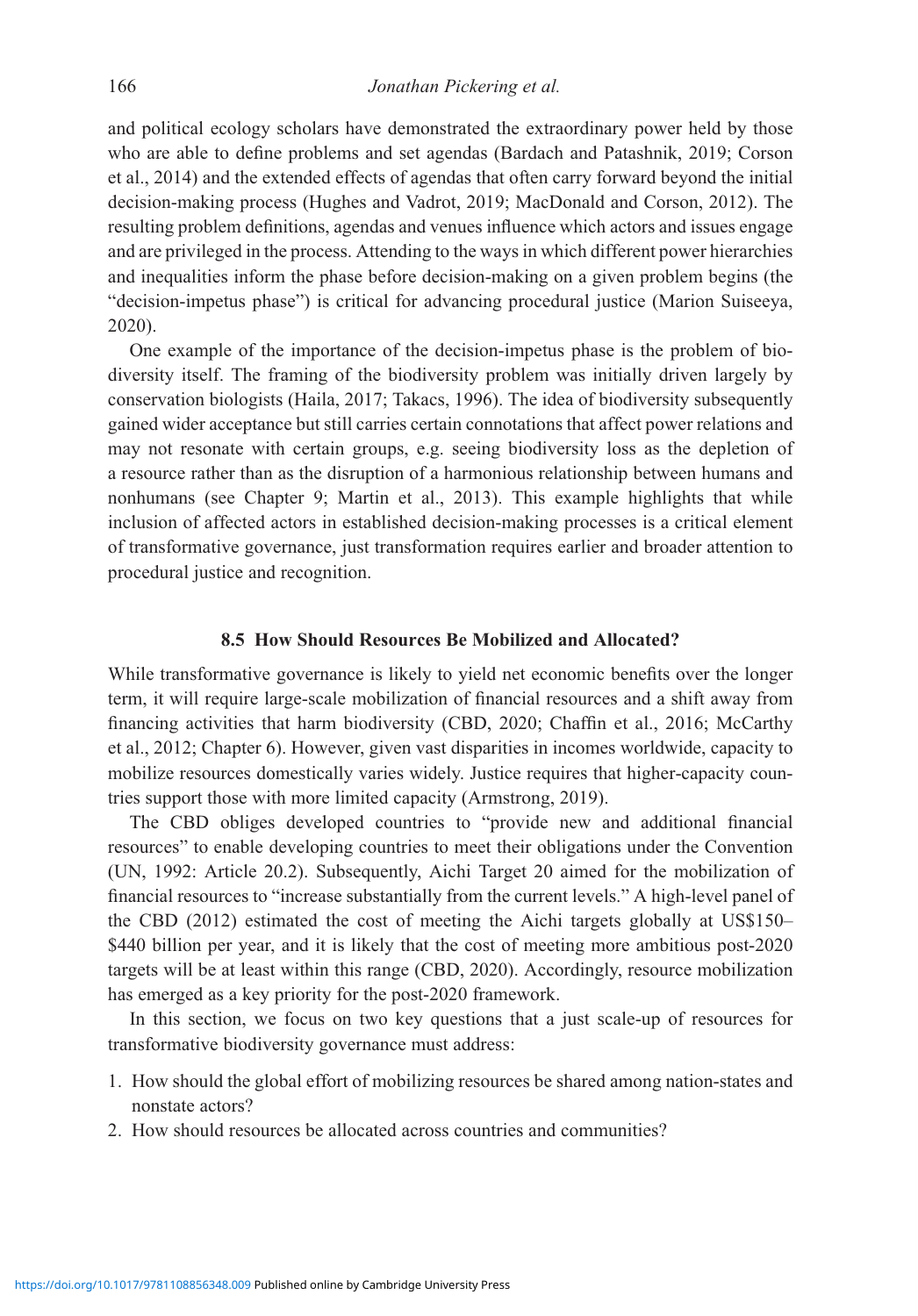and political ecology scholars have demonstrated the extraordinary power held by those who are able to define problems and set agendas (Bardach and Patashnik, 2019; Corson et al., 2014) and the extended effects of agendas that often carry forward beyond the initial decision-making process (Hughes and Vadrot, 2019; MacDonald and Corson, 2012). The resulting problem definitions, agendas and venues influence which actors and issues engage and are privileged in the process. Attending to the ways in which different power hierarchies and inequalities inform the phase before decision-making on a given problem begins (the "decision-impetus phase") is critical for advancing procedural justice (Marion Suiseeya, 2020).

One example of the importance of the decision-impetus phase is the problem of biodiversity itself. The framing of the biodiversity problem was initially driven largely by conservation biologists (Haila, 2017; Takacs, 1996). The idea of biodiversity subsequently gained wider acceptance but still carries certain connotations that affect power relations and may not resonate with certain groups, e.g. seeing biodiversity loss as the depletion of a resource rather than as the disruption of a harmonious relationship between humans and nonhumans (see Chapter 9; Martin et al., 2013). This example highlights that while inclusion of affected actors in established decision-making processes is a critical element of transformative governance, just transformation requires earlier and broader attention to procedural justice and recognition.

## 8.5 How Should Resources Be Mobilized and Allocated?

While transformative governance is likely to yield net economic benefits over the longer term, it will require large-scale mobilization of financial resources and a shift away from financing activities that harm biodiversity (CBD, 2020; Chaffin et al., 2016; McCarthy et al., 2012; Chapter 6). However, given vast disparities in incomes worldwide, capacity to mobilize resources domestically varies widely. Justice requires that higher-capacity countries support those with more limited capacity (Armstrong, 2019).

The CBD obliges developed countries to "provide new and additional financial resources" to enable developing countries to meet their obligations under the Convention (UN, 1992: Article 20.2). Subsequently, Aichi Target 20 aimed for the mobilization of financial resources to "increase substantially from the current levels." A high-level panel of the CBD (2012) estimated the cost of meeting the Aichi targets globally at US\$150– \$440 billion per year, and it is likely that the cost of meeting more ambitious post-2020 targets will be at least within this range (CBD, 2020). Accordingly, resource mobilization has emerged as a key priority for the post-2020 framework.

In this section, we focus on two key questions that a just scale-up of resources for transformative biodiversity governance must address:

- 1. How should the global effort of mobilizing resources be shared among nation-states and nonstate actors?
- 2. How should resources be allocated across countries and communities?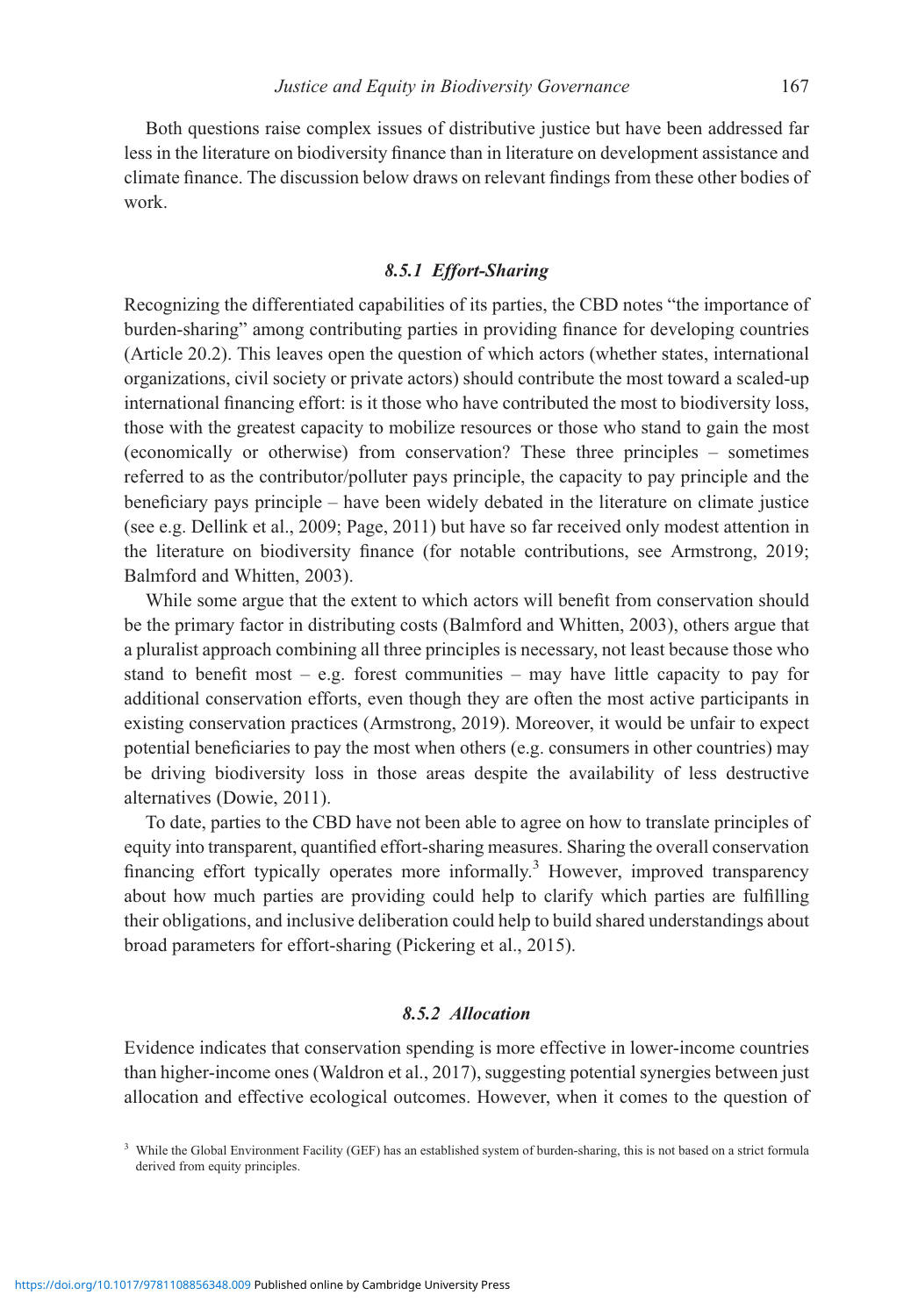Both questions raise complex issues of distributive justice but have been addressed far less in the literature on biodiversity finance than in literature on development assistance and climate finance. The discussion below draws on relevant findings from these other bodies of work.

## 8.5.1 Effort-Sharing

Recognizing the differentiated capabilities of its parties, the CBD notes "the importance of burden-sharing" among contributing parties in providing finance for developing countries (Article 20.2). This leaves open the question of which actors (whether states, international organizations, civil society or private actors) should contribute the most toward a scaled-up international financing effort: is it those who have contributed the most to biodiversity loss, those with the greatest capacity to mobilize resources or those who stand to gain the most (economically or otherwise) from conservation? These three principles – sometimes referred to as the contributor/polluter pays principle, the capacity to pay principle and the beneficiary pays principle – have been widely debated in the literature on climate justice (see e.g. Dellink et al., 2009; Page, 2011) but have so far received only modest attention in the literature on biodiversity finance (for notable contributions, see Armstrong, 2019; Balmford and Whitten, 2003).

While some argue that the extent to which actors will benefit from conservation should be the primary factor in distributing costs (Balmford and Whitten, 2003), others argue that a pluralist approach combining all three principles is necessary, not least because those who stand to benefit most – e.g. forest communities – may have little capacity to pay for additional conservation efforts, even though they are often the most active participants in existing conservation practices (Armstrong, 2019). Moreover, it would be unfair to expect potential beneficiaries to pay the most when others (e.g. consumers in other countries) may be driving biodiversity loss in those areas despite the availability of less destructive alternatives (Dowie, 2011).

To date, parties to the CBD have not been able to agree on how to translate principles of equity into transparent, quantified effort-sharing measures. Sharing the overall conservation financing effort typically operates more informally.<sup>3</sup> However, improved transparency about how much parties are providing could help to clarify which parties are fulfilling their obligations, and inclusive deliberation could help to build shared understandings about broad parameters for effort-sharing (Pickering et al., 2015).

#### 8.5.2 Allocation

Evidence indicates that conservation spending is more effective in lower-income countries than higher-income ones (Waldron et al., 2017), suggesting potential synergies between just allocation and effective ecological outcomes. However, when it comes to the question of

<sup>&</sup>lt;sup>3</sup> While the Global Environment Facility (GEF) has an established system of burden-sharing, this is not based on a strict formula derived from equity principles.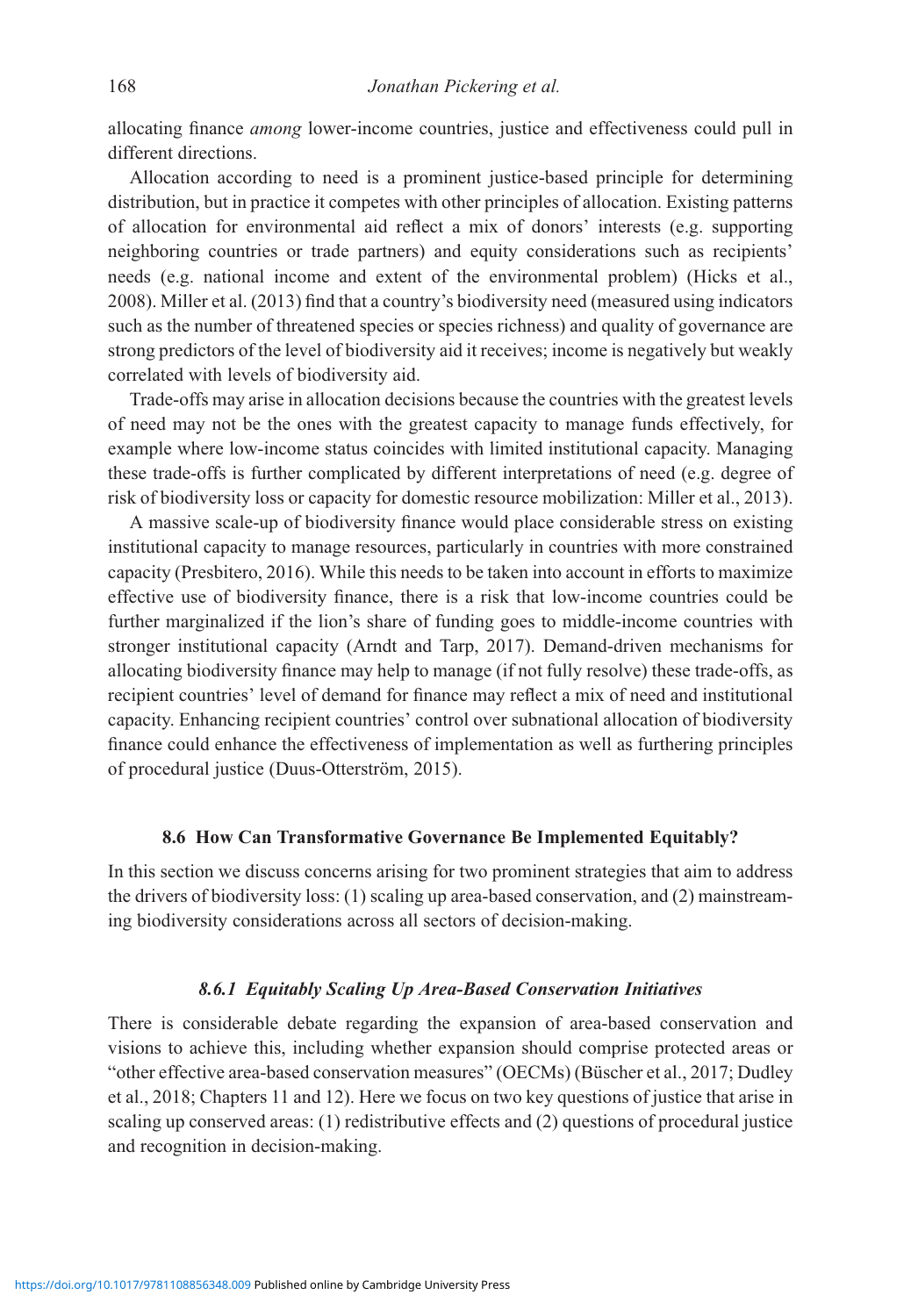allocating finance among lower-income countries, justice and effectiveness could pull in different directions.

Allocation according to need is a prominent justice-based principle for determining distribution, but in practice it competes with other principles of allocation. Existing patterns of allocation for environmental aid reflect a mix of donors' interests (e.g. supporting neighboring countries or trade partners) and equity considerations such as recipients' needs (e.g. national income and extent of the environmental problem) (Hicks et al., 2008). Miller et al. (2013) find that a country's biodiversity need (measured using indicators such as the number of threatened species or species richness) and quality of governance are strong predictors of the level of biodiversity aid it receives; income is negatively but weakly correlated with levels of biodiversity aid.

Trade-offs may arise in allocation decisions because the countries with the greatest levels of need may not be the ones with the greatest capacity to manage funds effectively, for example where low-income status coincides with limited institutional capacity. Managing these trade-offs is further complicated by different interpretations of need (e.g. degree of risk of biodiversity loss or capacity for domestic resource mobilization: Miller et al., 2013).

A massive scale-up of biodiversity finance would place considerable stress on existing institutional capacity to manage resources, particularly in countries with more constrained capacity (Presbitero, 2016). While this needs to be taken into account in efforts to maximize effective use of biodiversity finance, there is a risk that low-income countries could be further marginalized if the lion's share of funding goes to middle-income countries with stronger institutional capacity (Arndt and Tarp, 2017). Demand-driven mechanisms for allocating biodiversity finance may help to manage (if not fully resolve) these trade-offs, as recipient countries' level of demand for finance may reflect a mix of need and institutional capacity. Enhancing recipient countries' control over subnational allocation of biodiversity finance could enhance the effectiveness of implementation as well as furthering principles of procedural justice (Duus-Otterström, 2015).

# 8.6 How Can Transformative Governance Be Implemented Equitably?

In this section we discuss concerns arising for two prominent strategies that aim to address the drivers of biodiversity loss: (1) scaling up area-based conservation, and (2) mainstreaming biodiversity considerations across all sectors of decision-making.

## 8.6.1 Equitably Scaling Up Area-Based Conservation Initiatives

There is considerable debate regarding the expansion of area-based conservation and visions to achieve this, including whether expansion should comprise protected areas or "other effective area-based conservation measures" (OECMs) (Büscher et al., 2017; Dudley et al., 2018; Chapters 11 and 12). Here we focus on two key questions of justice that arise in scaling up conserved areas: (1) redistributive effects and (2) questions of procedural justice and recognition in decision-making.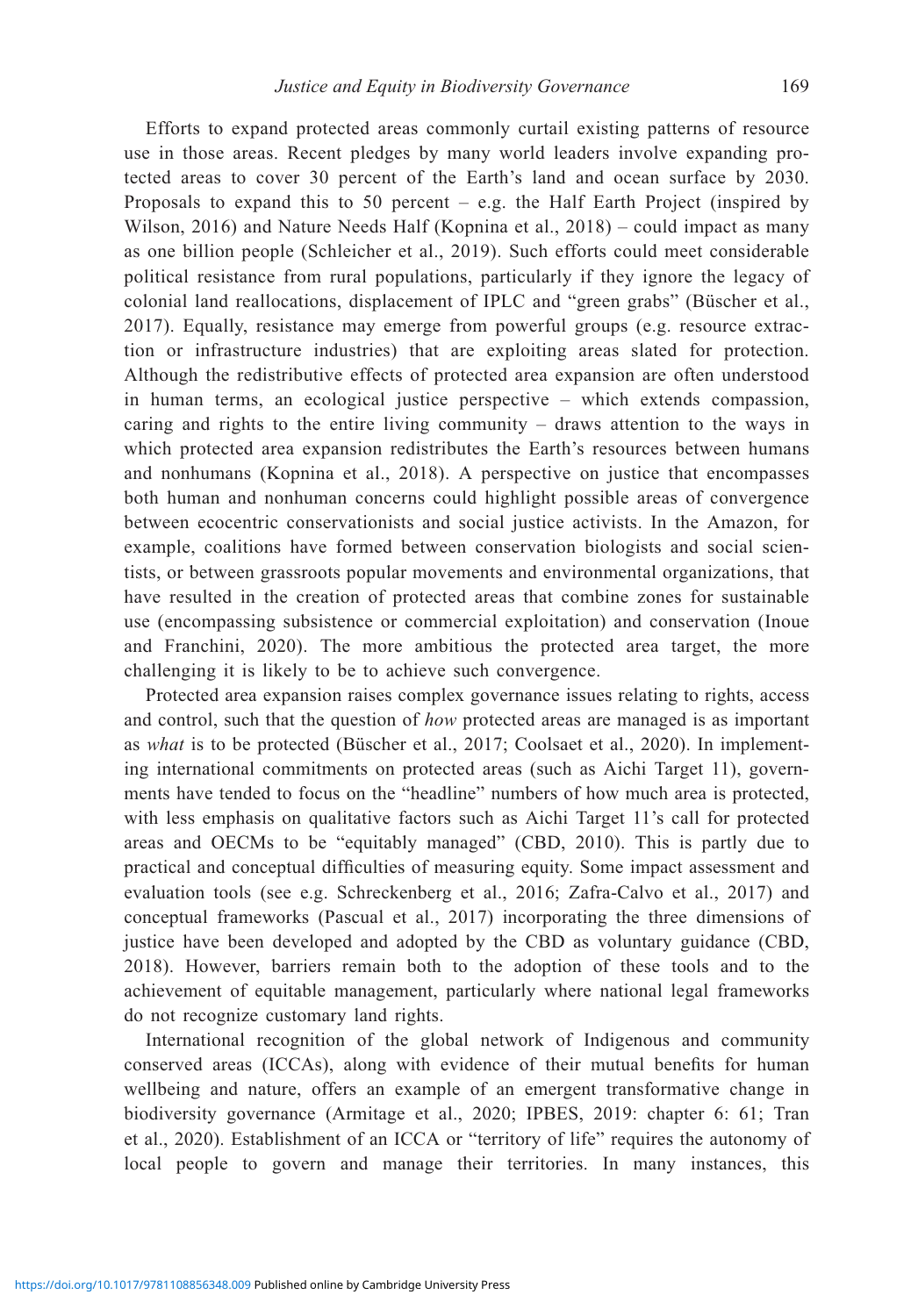Efforts to expand protected areas commonly curtail existing patterns of resource use in those areas. Recent pledges by many world leaders involve expanding protected areas to cover 30 percent of the Earth's land and ocean surface by 2030. Proposals to expand this to 50 percent – e.g. the Half Earth Project (inspired by Wilson, 2016) and Nature Needs Half (Kopnina et al., 2018) – could impact as many as one billion people (Schleicher et al., 2019). Such efforts could meet considerable political resistance from rural populations, particularly if they ignore the legacy of colonial land reallocations, displacement of IPLC and "green grabs" (Büscher et al., 2017). Equally, resistance may emerge from powerful groups (e.g. resource extraction or infrastructure industries) that are exploiting areas slated for protection. Although the redistributive effects of protected area expansion are often understood in human terms, an ecological justice perspective – which extends compassion, caring and rights to the entire living community – draws attention to the ways in which protected area expansion redistributes the Earth's resources between humans and nonhumans (Kopnina et al., 2018). A perspective on justice that encompasses both human and nonhuman concerns could highlight possible areas of convergence between ecocentric conservationists and social justice activists. In the Amazon, for example, coalitions have formed between conservation biologists and social scientists, or between grassroots popular movements and environmental organizations, that have resulted in the creation of protected areas that combine zones for sustainable use (encompassing subsistence or commercial exploitation) and conservation (Inoue and Franchini, 2020). The more ambitious the protected area target, the more challenging it is likely to be to achieve such convergence.

Protected area expansion raises complex governance issues relating to rights, access and control, such that the question of how protected areas are managed is as important as what is to be protected (Büscher et al., 2017; Coolsaet et al., 2020). In implementing international commitments on protected areas (such as Aichi Target 11), governments have tended to focus on the "headline" numbers of how much area is protected, with less emphasis on qualitative factors such as Aichi Target 11's call for protected areas and OECMs to be "equitably managed" (CBD, 2010). This is partly due to practical and conceptual difficulties of measuring equity. Some impact assessment and evaluation tools (see e.g. Schreckenberg et al., 2016; Zafra-Calvo et al., 2017) and conceptual frameworks (Pascual et al., 2017) incorporating the three dimensions of justice have been developed and adopted by the CBD as voluntary guidance (CBD, 2018). However, barriers remain both to the adoption of these tools and to the achievement of equitable management, particularly where national legal frameworks do not recognize customary land rights.

International recognition of the global network of Indigenous and community conserved areas (ICCAs), along with evidence of their mutual benefits for human wellbeing and nature, offers an example of an emergent transformative change in biodiversity governance (Armitage et al., 2020; IPBES, 2019: chapter 6: 61; Tran et al., 2020). Establishment of an ICCA or "territory of life" requires the autonomy of local people to govern and manage their territories. In many instances, this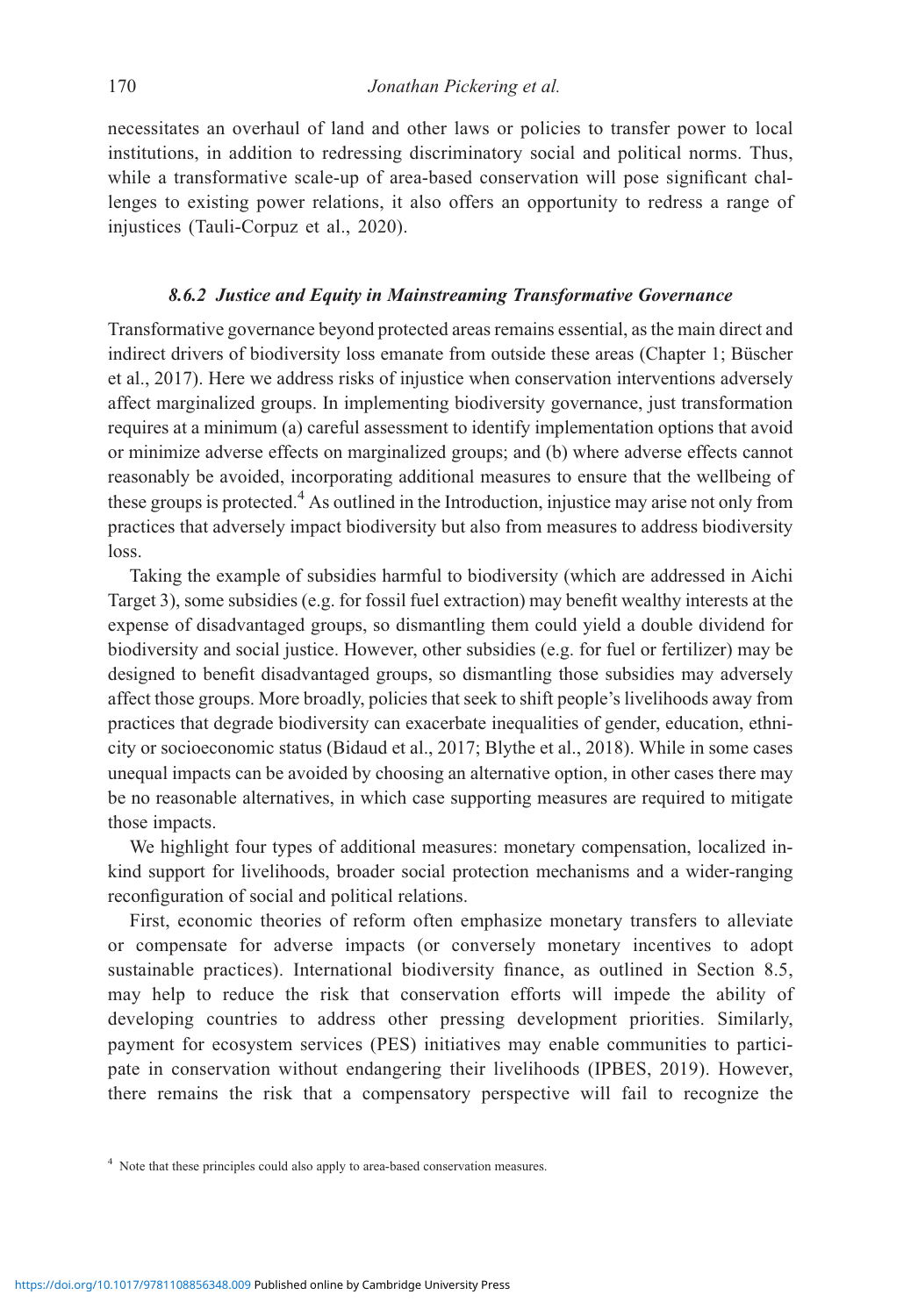necessitates an overhaul of land and other laws or policies to transfer power to local institutions, in addition to redressing discriminatory social and political norms. Thus, while a transformative scale-up of area-based conservation will pose significant challenges to existing power relations, it also offers an opportunity to redress a range of injustices (Tauli-Corpuz et al., 2020).

## 8.6.2 Justice and Equity in Mainstreaming Transformative Governance

Transformative governance beyond protected areas remains essential, as the main direct and indirect drivers of biodiversity loss emanate from outside these areas (Chapter 1; Büscher et al., 2017). Here we address risks of injustice when conservation interventions adversely affect marginalized groups. In implementing biodiversity governance, just transformation requires at a minimum (a) careful assessment to identify implementation options that avoid or minimize adverse effects on marginalized groups; and (b) where adverse effects cannot reasonably be avoided, incorporating additional measures to ensure that the wellbeing of these groups is protected.<sup>4</sup> As outlined in the Introduction, injustice may arise not only from practices that adversely impact biodiversity but also from measures to address biodiversity loss.

Taking the example of subsidies harmful to biodiversity (which are addressed in Aichi Target 3), some subsidies (e.g. for fossil fuel extraction) may benefit wealthy interests at the expense of disadvantaged groups, so dismantling them could yield a double dividend for biodiversity and social justice. However, other subsidies (e.g. for fuel or fertilizer) may be designed to benefit disadvantaged groups, so dismantling those subsidies may adversely affect those groups. More broadly, policies that seek to shift people's livelihoods away from practices that degrade biodiversity can exacerbate inequalities of gender, education, ethnicity or socioeconomic status (Bidaud et al., 2017; Blythe et al., 2018). While in some cases unequal impacts can be avoided by choosing an alternative option, in other cases there may be no reasonable alternatives, in which case supporting measures are required to mitigate those impacts.

We highlight four types of additional measures: monetary compensation, localized inkind support for livelihoods, broader social protection mechanisms and a wider-ranging reconfiguration of social and political relations.

First, economic theories of reform often emphasize monetary transfers to alleviate or compensate for adverse impacts (or conversely monetary incentives to adopt sustainable practices). International biodiversity finance, as outlined in Section 8.5, may help to reduce the risk that conservation efforts will impede the ability of developing countries to address other pressing development priorities. Similarly, payment for ecosystem services (PES) initiatives may enable communities to participate in conservation without endangering their livelihoods (IPBES, 2019). However, there remains the risk that a compensatory perspective will fail to recognize the

<sup>&</sup>lt;sup>4</sup> Note that these principles could also apply to area-based conservation measures.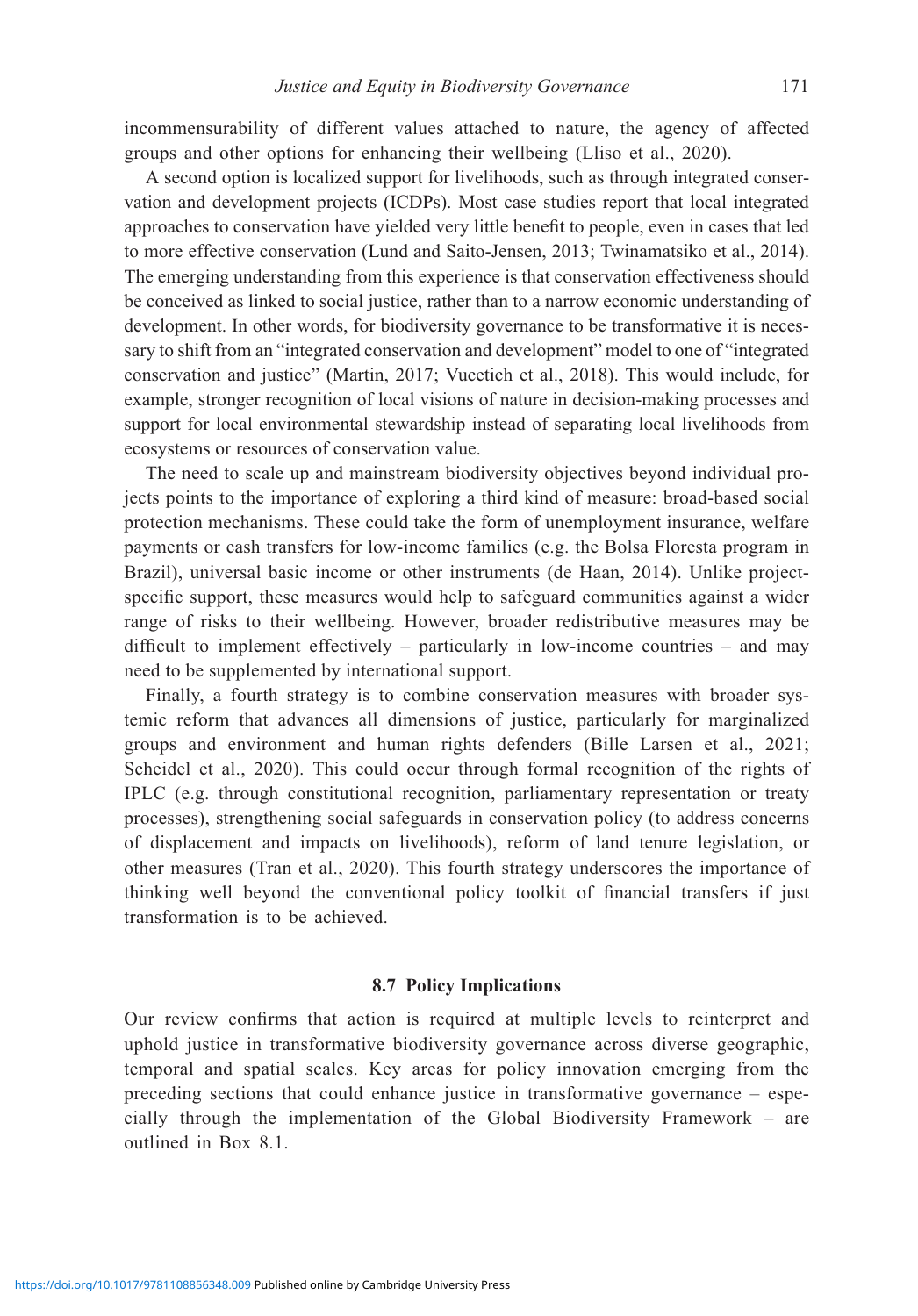incommensurability of different values attached to nature, the agency of affected groups and other options for enhancing their wellbeing (Lliso et al., 2020).

A second option is localized support for livelihoods, such as through integrated conservation and development projects (ICDPs). Most case studies report that local integrated approaches to conservation have yielded very little benefit to people, even in cases that led to more effective conservation (Lund and Saito-Jensen, 2013; Twinamatsiko et al., 2014). The emerging understanding from this experience is that conservation effectiveness should be conceived as linked to social justice, rather than to a narrow economic understanding of development. In other words, for biodiversity governance to be transformative it is necessary to shift from an "integrated conservation and development" model to one of "integrated conservation and justice" (Martin, 2017; Vucetich et al., 2018). This would include, for example, stronger recognition of local visions of nature in decision-making processes and support for local environmental stewardship instead of separating local livelihoods from ecosystems or resources of conservation value.

The need to scale up and mainstream biodiversity objectives beyond individual projects points to the importance of exploring a third kind of measure: broad-based social protection mechanisms. These could take the form of unemployment insurance, welfare payments or cash transfers for low-income families (e.g. the Bolsa Floresta program in Brazil), universal basic income or other instruments (de Haan, 2014). Unlike projectspecific support, these measures would help to safeguard communities against a wider range of risks to their wellbeing. However, broader redistributive measures may be difficult to implement effectively – particularly in low-income countries – and may need to be supplemented by international support.

Finally, a fourth strategy is to combine conservation measures with broader systemic reform that advances all dimensions of justice, particularly for marginalized groups and environment and human rights defenders (Bille Larsen et al., 2021; Scheidel et al., 2020). This could occur through formal recognition of the rights of IPLC (e.g. through constitutional recognition, parliamentary representation or treaty processes), strengthening social safeguards in conservation policy (to address concerns of displacement and impacts on livelihoods), reform of land tenure legislation, or other measures (Tran et al., 2020). This fourth strategy underscores the importance of thinking well beyond the conventional policy toolkit of financial transfers if just transformation is to be achieved.

#### 8.7 Policy Implications

Our review confirms that action is required at multiple levels to reinterpret and uphold justice in transformative biodiversity governance across diverse geographic, temporal and spatial scales. Key areas for policy innovation emerging from the preceding sections that could enhance justice in transformative governance – especially through the implementation of the Global Biodiversity Framework – are outlined in Box 8.1.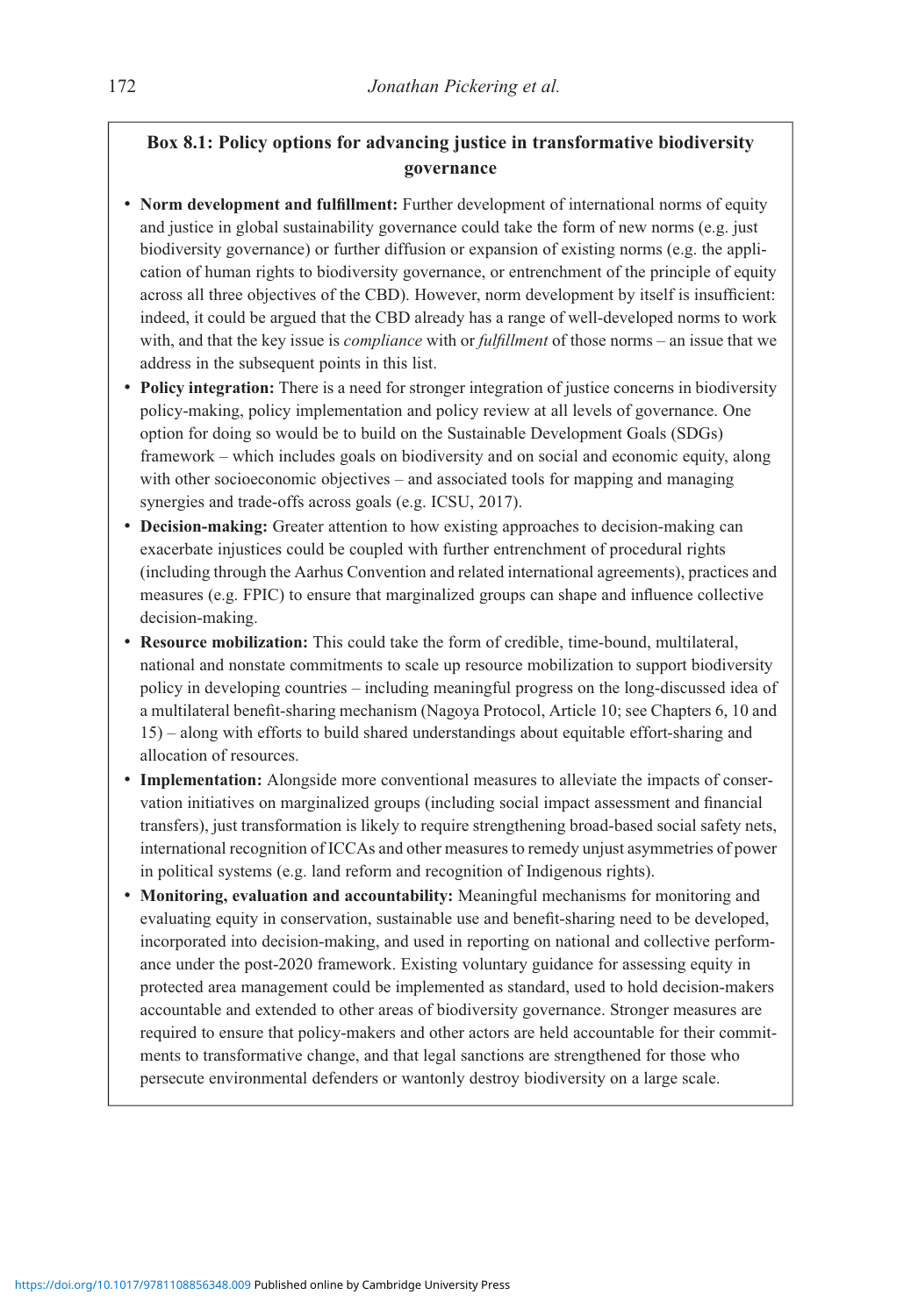# Box 8.1: Policy options for advancing justice in transformative biodiversity governance

- Norm development and fulfillment: Further development of international norms of equity and justice in global sustainability governance could take the form of new norms (e.g. just biodiversity governance) or further diffusion or expansion of existing norms (e.g. the application of human rights to biodiversity governance, or entrenchment of the principle of equity across all three objectives of the CBD). However, norm development by itself is insufficient: indeed, it could be argued that the CBD already has a range of well-developed norms to work with, and that the key issue is *compliance* with or *fulfillment* of those norms – an issue that we address in the subsequent points in this list.
- Policy integration: There is a need for stronger integration of justice concerns in biodiversity policy-making, policy implementation and policy review at all levels of governance. One option for doing so would be to build on the Sustainable Development Goals (SDGs) framework – which includes goals on biodiversity and on social and economic equity, along with other socioeconomic objectives – and associated tools for mapping and managing synergies and trade-offs across goals (e.g. ICSU, 2017).
- Decision-making: Greater attention to how existing approaches to decision-making can exacerbate injustices could be coupled with further entrenchment of procedural rights (including through the Aarhus Convention and related international agreements), practices and measures (e.g. FPIC) to ensure that marginalized groups can shape and influence collective decision-making.
- Resource mobilization: This could take the form of credible, time-bound, multilateral, national and nonstate commitments to scale up resource mobilization to support biodiversity policy in developing countries – including meaningful progress on the long-discussed idea of a multilateral benefit-sharing mechanism (Nagoya Protocol, Article 10; see Chapters 6, 10 and 15) – along with efforts to build shared understandings about equitable effort-sharing and allocation of resources.
- Implementation: Alongside more conventional measures to alleviate the impacts of conservation initiatives on marginalized groups (including social impact assessment and financial transfers), just transformation is likely to require strengthening broad-based social safety nets, international recognition of ICCAs and other measures to remedy unjust asymmetries of power in political systems (e.g. land reform and recognition of Indigenous rights).
- Monitoring, evaluation and accountability: Meaningful mechanisms for monitoring and evaluating equity in conservation, sustainable use and benefit-sharing need to be developed, incorporated into decision-making, and used in reporting on national and collective performance under the post-2020 framework. Existing voluntary guidance for assessing equity in protected area management could be implemented as standard, used to hold decision-makers accountable and extended to other areas of biodiversity governance. Stronger measures are required to ensure that policy-makers and other actors are held accountable for their commitments to transformative change, and that legal sanctions are strengthened for those who persecute environmental defenders or wantonly destroy biodiversity on a large scale.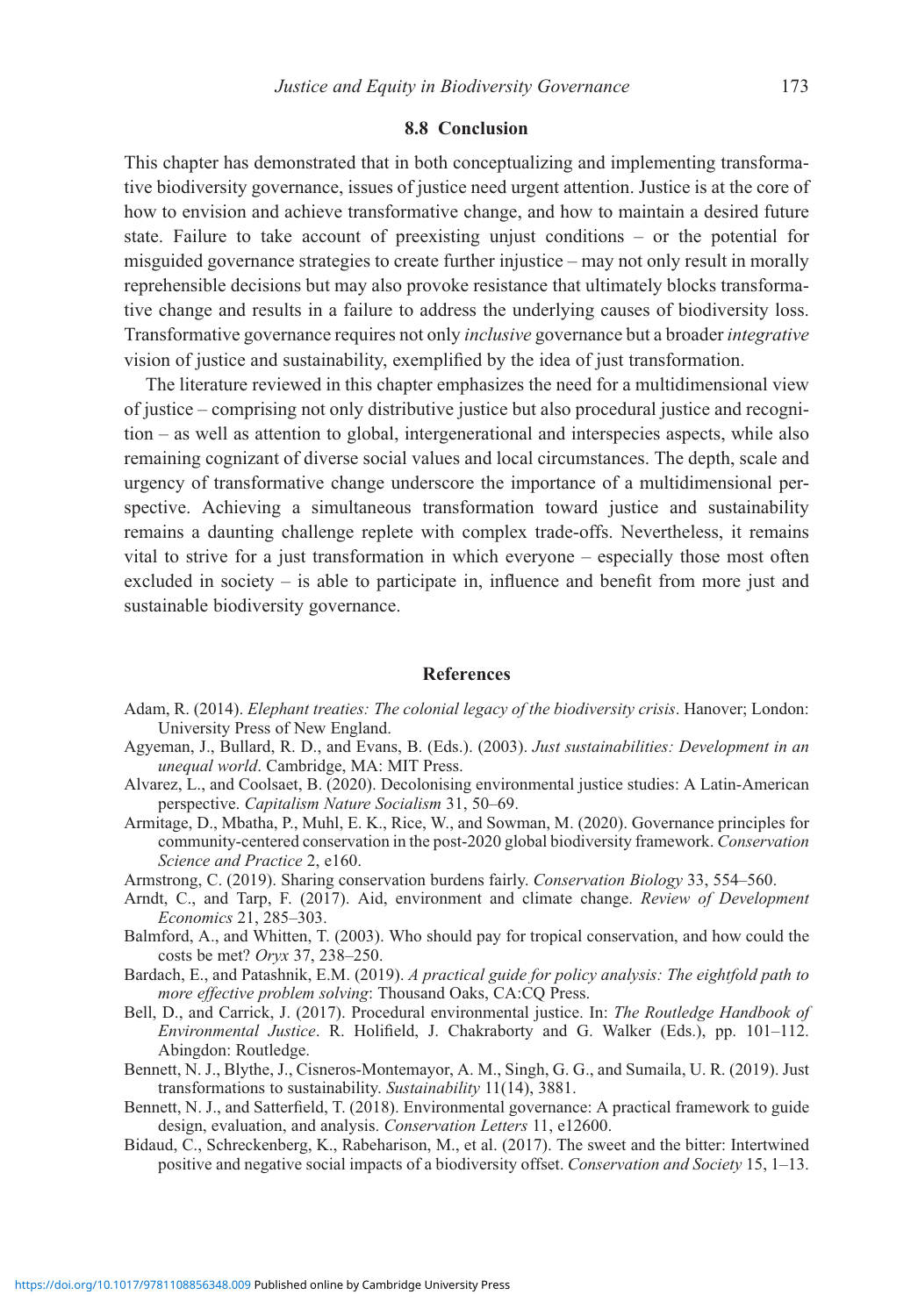#### 8.8 Conclusion

This chapter has demonstrated that in both conceptualizing and implementing transformative biodiversity governance, issues of justice need urgent attention. Justice is at the core of how to envision and achieve transformative change, and how to maintain a desired future state. Failure to take account of preexisting unjust conditions – or the potential for misguided governance strategies to create further injustice – may not only result in morally reprehensible decisions but may also provoke resistance that ultimately blocks transformative change and results in a failure to address the underlying causes of biodiversity loss. Transformative governance requires not only inclusive governance but a broader integrative vision of justice and sustainability, exemplified by the idea of just transformation.

The literature reviewed in this chapter emphasizes the need for a multidimensional view of justice – comprising not only distributive justice but also procedural justice and recognition – as well as attention to global, intergenerational and interspecies aspects, while also remaining cognizant of diverse social values and local circumstances. The depth, scale and urgency of transformative change underscore the importance of a multidimensional perspective. Achieving a simultaneous transformation toward justice and sustainability remains a daunting challenge replete with complex trade-offs. Nevertheless, it remains vital to strive for a just transformation in which everyone – especially those most often excluded in society – is able to participate in, influence and benefit from more just and sustainable biodiversity governance.

#### References

- Adam, R. (2014). Elephant treaties: The colonial legacy of the biodiversity crisis. Hanover; London: University Press of New England.
- Agyeman, J., Bullard, R. D., and Evans, B. (Eds.). (2003). Just sustainabilities: Development in an unequal world. Cambridge, MA: MIT Press.
- Alvarez, L., and Coolsaet, B. (2020). Decolonising environmental justice studies: A Latin-American perspective. Capitalism Nature Socialism 31, 50–69.
- Armitage, D., Mbatha, P., Muhl, E. K., Rice, W., and Sowman, M. (2020). Governance principles for community-centered conservation in the post-2020 global biodiversity framework. Conservation Science and Practice 2, e160.
- Armstrong, C. (2019). Sharing conservation burdens fairly. Conservation Biology 33, 554–560.
- Arndt, C., and Tarp, F. (2017). Aid, environment and climate change. Review of Development Economics 21, 285–303.
- Balmford, A., and Whitten, T. (2003). Who should pay for tropical conservation, and how could the costs be met? Oryx 37, 238–250.
- Bardach, E., and Patashnik, E.M. (2019). A practical guide for policy analysis: The eightfold path to more effective problem solving: Thousand Oaks, CA:CQ Press.
- Bell, D., and Carrick, J. (2017). Procedural environmental justice. In: The Routledge Handbook of Environmental Justice. R. Holifield, J. Chakraborty and G. Walker (Eds.), pp. 101–112. Abingdon: Routledge.
- Bennett, N. J., Blythe, J., Cisneros-Montemayor, A. M., Singh, G. G., and Sumaila, U. R. (2019). Just transformations to sustainability. Sustainability 11(14), 3881.
- Bennett, N. J., and Satterfield, T. (2018). Environmental governance: A practical framework to guide design, evaluation, and analysis. Conservation Letters 11, e12600.
- Bidaud, C., Schreckenberg, K., Rabeharison, M., et al. (2017). The sweet and the bitter: Intertwined positive and negative social impacts of a biodiversity offset. Conservation and Society 15, 1–13.

<https://doi.org/10.1017/9781108856348.009>Published online by Cambridge University Press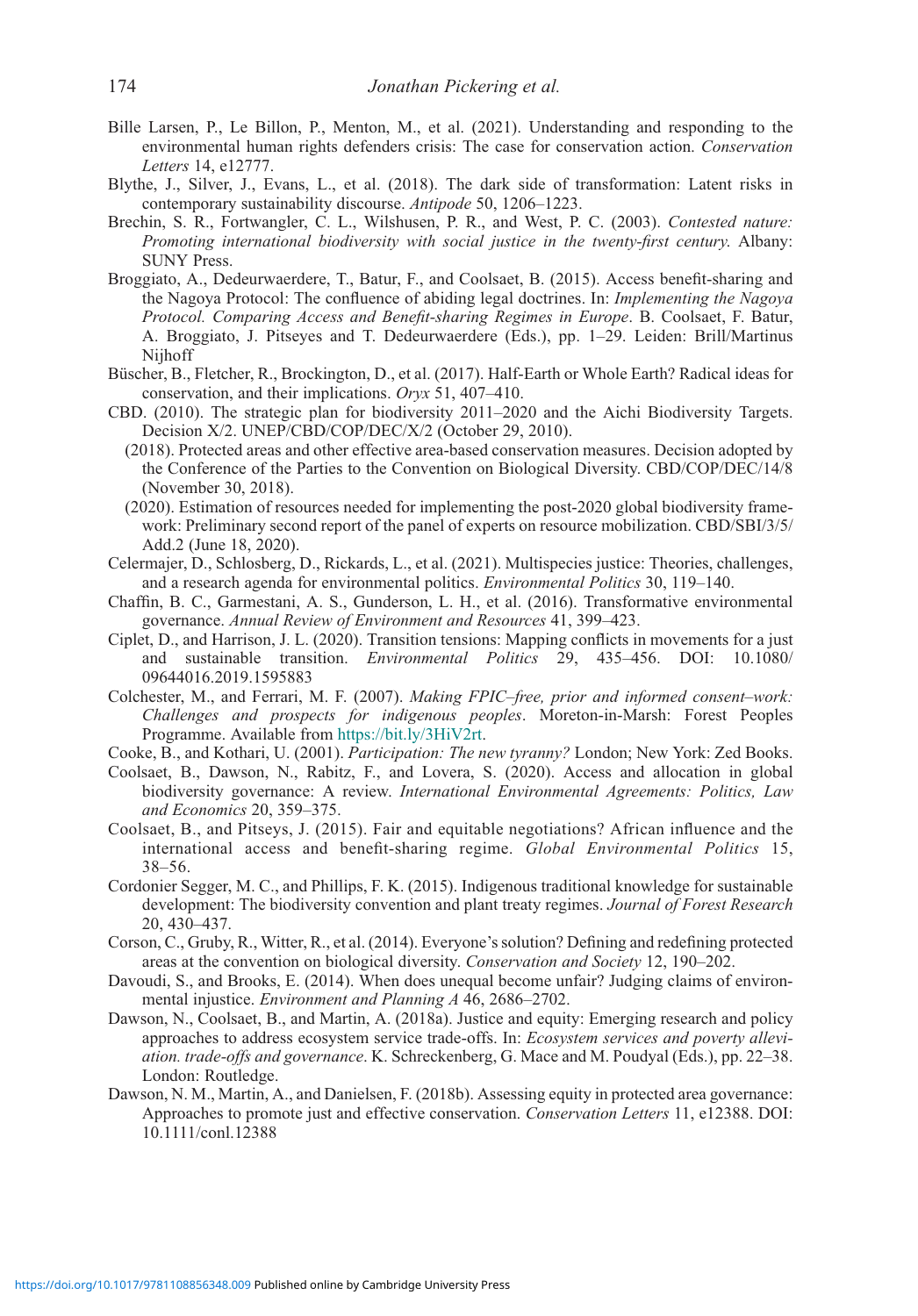- Bille Larsen, P., Le Billon, P., Menton, M., et al. (2021). Understanding and responding to the environmental human rights defenders crisis: The case for conservation action. Conservation Letters 14, e12777.
- Blythe, J., Silver, J., Evans, L., et al. (2018). The dark side of transformation: Latent risks in contemporary sustainability discourse. Antipode 50, 1206–1223.
- Brechin, S. R., Fortwangler, C. L., Wilshusen, P. R., and West, P. C. (2003). Contested nature: Promoting international biodiversity with social justice in the twenty-first century. Albany: SUNY Press.
- Broggiato, A., Dedeurwaerdere, T., Batur, F., and Coolsaet, B. (2015). Access benefit-sharing and the Nagoya Protocol: The confluence of abiding legal doctrines. In: Implementing the Nagoya Protocol. Comparing Access and Benefit-sharing Regimes in Europe. B. Coolsaet, F. Batur, A. Broggiato, J. Pitseyes and T. Dedeurwaerdere (Eds.), pp. 1–29. Leiden: Brill/Martinus Nijhoff
- Büscher, B., Fletcher, R., Brockington, D., et al. (2017). Half-Earth or Whole Earth? Radical ideas for conservation, and their implications. Oryx 51, 407–410.
- CBD. (2010). The strategic plan for biodiversity 2011–2020 and the Aichi Biodiversity Targets. Decision X/2. UNEP/CBD/COP/DEC/X/2 (October 29, 2010).
	- (2018). Protected areas and other effective area-based conservation measures. Decision adopted by the Conference of the Parties to the Convention on Biological Diversity. CBD/COP/DEC/14/8 (November 30, 2018).
	- (2020). Estimation of resources needed for implementing the post-2020 global biodiversity framework: Preliminary second report of the panel of experts on resource mobilization. CBD/SBI/3/5/ Add.2 (June 18, 2020).
- Celermajer, D., Schlosberg, D., Rickards, L., et al. (2021). Multispecies justice: Theories, challenges, and a research agenda for environmental politics. Environmental Politics 30, 119–140.
- Chaffin, B. C., Garmestani, A. S., Gunderson, L. H., et al. (2016). Transformative environmental governance. Annual Review of Environment and Resources 41, 399–423.
- Ciplet, D., and Harrison, J. L. (2020). Transition tensions: Mapping conflicts in movements for a just and sustainable transition. Environmental Politics 29, 435–456. DOI: 10.1080/ 09644016.2019.1595883
- Colchester, M., and Ferrari, M. F. (2007). Making FPIC–free, prior and informed consent–work: Challenges and prospects for indigenous peoples. Moreton-in-Marsh: Forest Peoples Programme. Available from <https://bit.ly/3HiV2rt>.
- Cooke, B., and Kothari, U. (2001). Participation: The new tyranny? London; New York: Zed Books.
- Coolsaet, B., Dawson, N., Rabitz, F., and Lovera, S. (2020). Access and allocation in global biodiversity governance: A review. International Environmental Agreements: Politics, Law and Economics 20, 359–375.
- Coolsaet, B., and Pitseys, J. (2015). Fair and equitable negotiations? African influence and the international access and benefit-sharing regime. Global Environmental Politics 15, 38–56.
- Cordonier Segger, M. C., and Phillips, F. K. (2015). Indigenous traditional knowledge for sustainable development: The biodiversity convention and plant treaty regimes. Journal of Forest Research 20, 430–437.
- Corson, C., Gruby, R., Witter, R., et al. (2014). Everyone's solution? Defining and redefining protected areas at the convention on biological diversity. Conservation and Society 12, 190–202.
- Davoudi, S., and Brooks, E. (2014). When does unequal become unfair? Judging claims of environmental injustice. Environment and Planning A 46, 2686–2702.
- Dawson, N., Coolsaet, B., and Martin, A. (2018a). Justice and equity: Emerging research and policy approaches to address ecosystem service trade-offs. In: Ecosystem services and poverty alleviation. trade-offs and governance. K. Schreckenberg, G. Mace and M. Poudyal (Eds.), pp. 22–38. London: Routledge.
- Dawson, N. M., Martin, A., and Danielsen, F. (2018b). Assessing equity in protected area governance: Approaches to promote just and effective conservation. Conservation Letters 11, e12388. DOI: 10.1111/conl.12388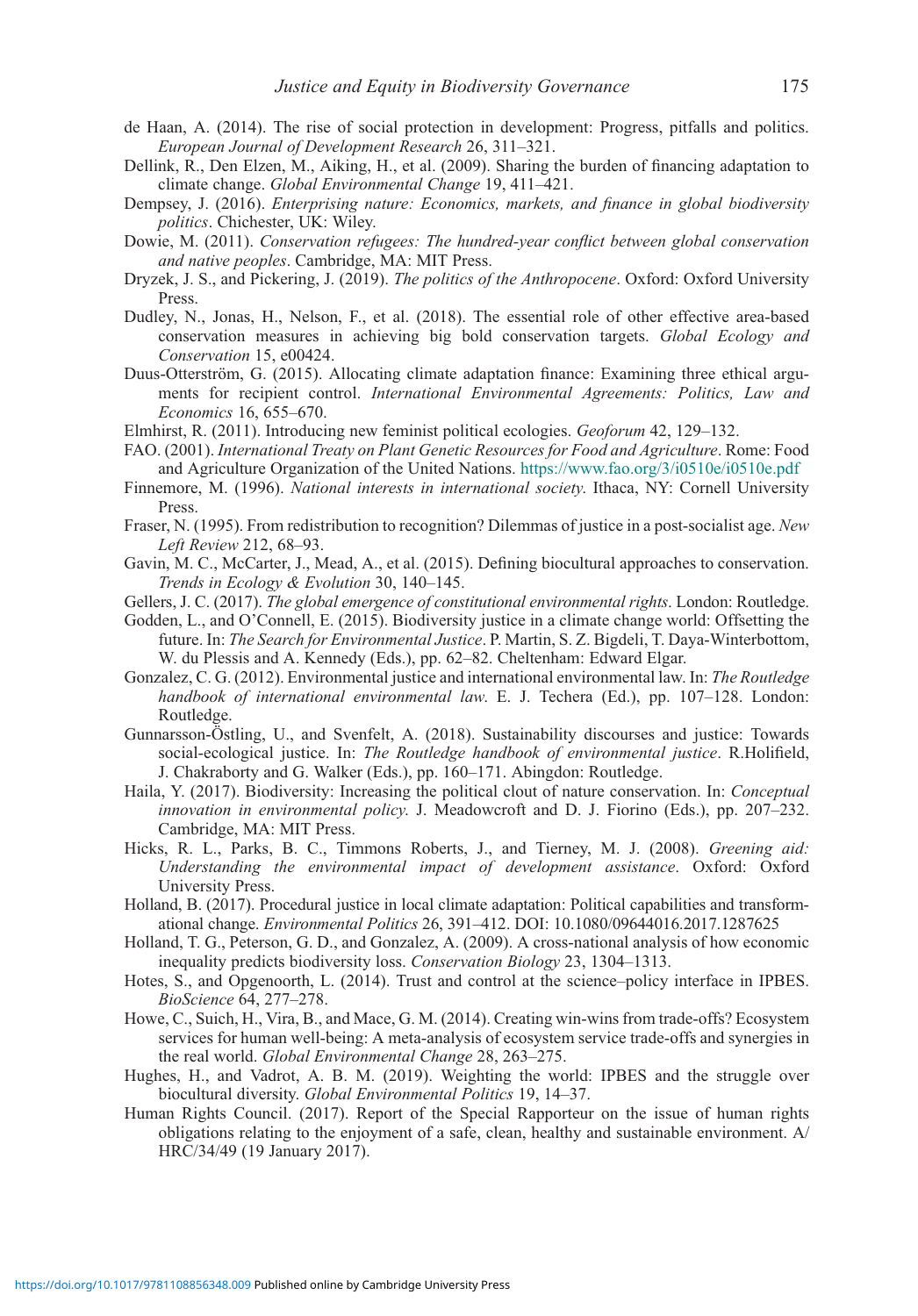- de Haan, A. (2014). The rise of social protection in development: Progress, pitfalls and politics. European Journal of Development Research 26, 311–321.
- Dellink, R., Den Elzen, M., Aiking, H., et al. (2009). Sharing the burden of financing adaptation to climate change. Global Environmental Change 19, 411–421.
- Dempsey, J. (2016). Enterprising nature: Economics, markets, and finance in global biodiversity politics. Chichester, UK: Wiley.
- Dowie, M. (2011). Conservation refugees: The hundred-year conflict between global conservation and native peoples. Cambridge, MA: MIT Press.
- Dryzek, J. S., and Pickering, J. (2019). The politics of the Anthropocene. Oxford: Oxford University Press.
- Dudley, N., Jonas, H., Nelson, F., et al. (2018). The essential role of other effective area-based conservation measures in achieving big bold conservation targets. Global Ecology and Conservation 15, e00424.
- Duus-Otterström, G. (2015). Allocating climate adaptation finance: Examining three ethical arguments for recipient control. International Environmental Agreements: Politics, Law and Economics 16, 655–670.
- Elmhirst, R. (2011). Introducing new feminist political ecologies. Geoforum 42, 129–132.
- FAO. (2001). International Treaty on Plant Genetic Resources for Food and Agriculture. Rome: Food and Agriculture Organization of the United Nations. <https://www.fao.org/3/i0510e/i0510e.pdf>
- Finnemore, M. (1996). National interests in international society. Ithaca, NY: Cornell University Press.
- Fraser, N. (1995). From redistribution to recognition? Dilemmas of justice in a post-socialist age. New Left Review 212, 68–93.
- Gavin, M. C., McCarter, J., Mead, A., et al. (2015). Defining biocultural approaches to conservation. Trends in Ecology & Evolution 30, 140–145.
- Gellers, J. C. (2017). The global emergence of constitutional environmental rights. London: Routledge.
- Godden, L., and O'Connell, E. (2015). Biodiversity justice in a climate change world: Offsetting the future. In: The Search for Environmental Justice. P. Martin, S. Z. Bigdeli, T. Daya-Winterbottom, W. du Plessis and A. Kennedy (Eds.), pp. 62–82. Cheltenham: Edward Elgar.
- Gonzalez, C. G. (2012). Environmental justice and international environmental law. In: The Routledge handbook of international environmental law. E. J. Techera (Ed.), pp. 107-128. London: Routledge.
- Gunnarsson-Östling, U., and Svenfelt, A. (2018). Sustainability discourses and justice: Towards social-ecological justice. In: The Routledge handbook of environmental justice. R.Holifield, J. Chakraborty and G. Walker (Eds.), pp. 160–171. Abingdon: Routledge.
- Haila, Y. (2017). Biodiversity: Increasing the political clout of nature conservation. In: Conceptual innovation in environmental policy. J. Meadowcroft and D. J. Fiorino (Eds.), pp. 207–232. Cambridge, MA: MIT Press.
- Hicks, R. L., Parks, B. C., Timmons Roberts, J., and Tierney, M. J. (2008). Greening aid: Understanding the environmental impact of development assistance. Oxford: Oxford University Press.
- Holland, B. (2017). Procedural justice in local climate adaptation: Political capabilities and transformational change. Environmental Politics 26, 391–412. DOI: 10.1080/09644016.2017.1287625
- Holland, T. G., Peterson, G. D., and Gonzalez, A. (2009). A cross-national analysis of how economic inequality predicts biodiversity loss. Conservation Biology 23, 1304–1313.
- Hotes, S., and Opgenoorth, L. (2014). Trust and control at the science–policy interface in IPBES. BioScience 64, 277–278.
- Howe, C., Suich, H., Vira, B., and Mace, G. M. (2014). Creating win-wins from trade-offs? Ecosystem services for human well-being: A meta-analysis of ecosystem service trade-offs and synergies in the real world. Global Environmental Change 28, 263–275.
- Hughes, H., and Vadrot, A. B. M. (2019). Weighting the world: IPBES and the struggle over biocultural diversity. Global Environmental Politics 19, 14–37.
- Human Rights Council. (2017). Report of the Special Rapporteur on the issue of human rights obligations relating to the enjoyment of a safe, clean, healthy and sustainable environment. A/ HRC/34/49 (19 January 2017).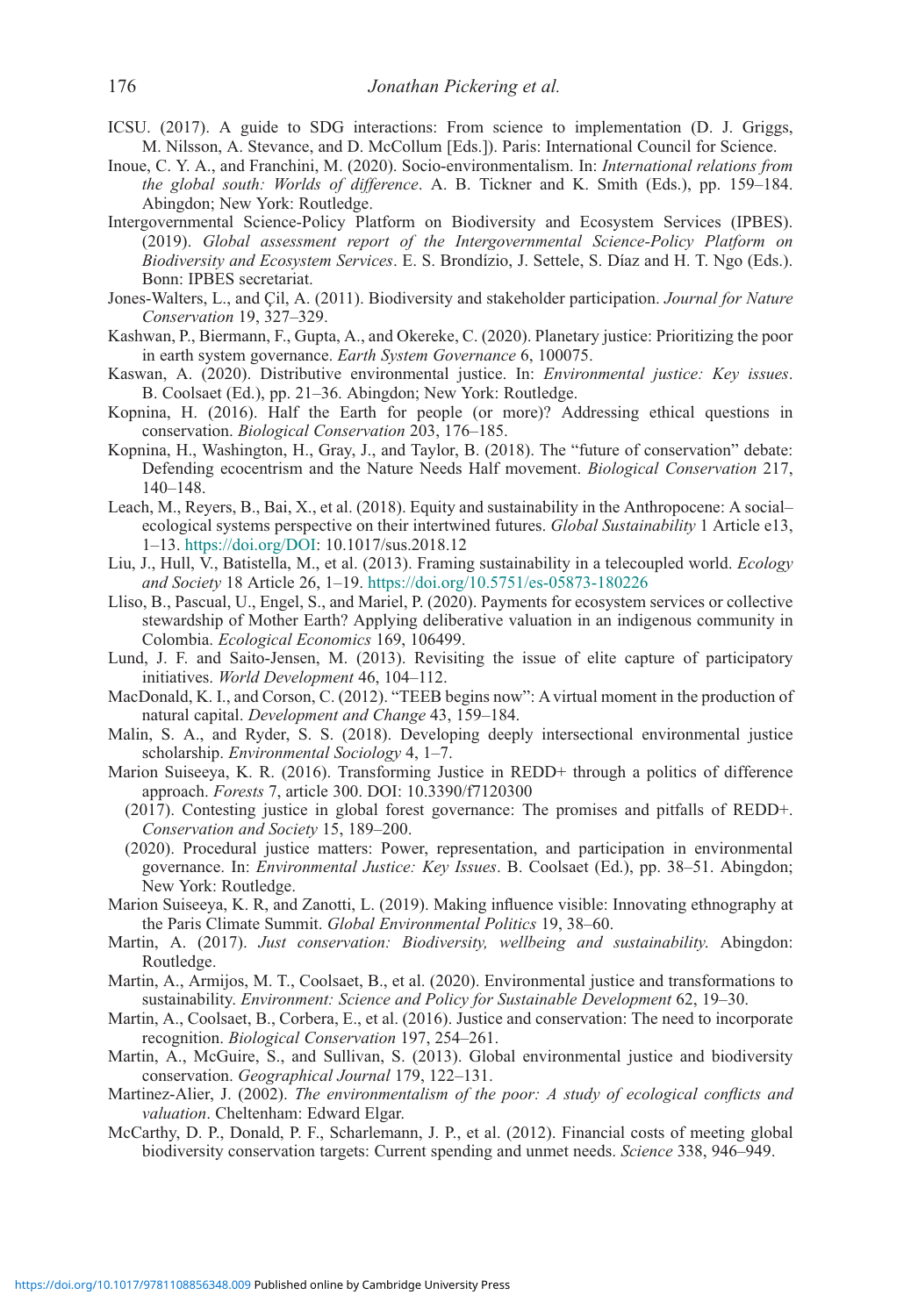- ICSU. (2017). A guide to SDG interactions: From science to implementation (D. J. Griggs, M. Nilsson, A. Stevance, and D. McCollum [Eds.]). Paris: International Council for Science.
- Inoue, C. Y. A., and Franchini, M. (2020). Socio-environmentalism. In: International relations from the global south: Worlds of difference. A. B. Tickner and K. Smith (Eds.), pp. 159–184. Abingdon; New York: Routledge.
- Intergovernmental Science-Policy Platform on Biodiversity and Ecosystem Services (IPBES). (2019). Global assessment report of the Intergovernmental Science-Policy Platform on Biodiversity and Ecosystem Services. E. S. Brondízio, J. Settele, S. Díaz and H. T. Ngo (Eds.). Bonn: IPBES secretariat.
- Jones-Walters, L., and Cil, A. (2011). Biodiversity and stakeholder participation. Journal for Nature Conservation 19, 327–329.
- Kashwan, P., Biermann, F., Gupta, A., and Okereke, C. (2020). Planetary justice: Prioritizing the poor in earth system governance. Earth System Governance 6, 100075.
- Kaswan, A. (2020). Distributive environmental justice. In: Environmental justice: Key issues. B. Coolsaet (Ed.), pp. 21–36. Abingdon; New York: Routledge.
- Kopnina, H. (2016). Half the Earth for people (or more)? Addressing ethical questions in conservation. Biological Conservation 203, 176–185.
- Kopnina, H., Washington, H., Gray, J., and Taylor, B. (2018). The "future of conservation" debate: Defending ecocentrism and the Nature Needs Half movement. Biological Conservation 217, 140–148.
- Leach, M., Reyers, B., Bai, X., et al. (2018). Equity and sustainability in the Anthropocene: A social– ecological systems perspective on their intertwined futures. Global Sustainability 1 Article e13, 1–13. <https://doi.org/DOI>: 10.1017/sus.2018.12
- Liu, J., Hull, V., Batistella, M., et al. (2013). Framing sustainability in a telecoupled world. Ecology and Society 18 Article 26, 1–19. <https://doi.org/10.5751/es-05873-180226>
- Lliso, B., Pascual, U., Engel, S., and Mariel, P. (2020). Payments for ecosystem services or collective stewardship of Mother Earth? Applying deliberative valuation in an indigenous community in Colombia. Ecological Economics 169, 106499.
- Lund, J. F. and Saito-Jensen, M. (2013). Revisiting the issue of elite capture of participatory initiatives. World Development 46, 104–112.
- MacDonald, K. I., and Corson, C. (2012). "TEEB begins now": A virtual moment in the production of natural capital. Development and Change 43, 159–184.
- Malin, S. A., and Ryder, S. S. (2018). Developing deeply intersectional environmental justice scholarship. Environmental Sociology 4, 1–7.
- Marion Suiseeya, K. R. (2016). Transforming Justice in REDD+ through a politics of difference approach. Forests 7, article 300. DOI: 10.3390/f7120300
	- (2017). Contesting justice in global forest governance: The promises and pitfalls of REDD+. Conservation and Society 15, 189–200.
	- (2020). Procedural justice matters: Power, representation, and participation in environmental governance. In: Environmental Justice: Key Issues. B. Coolsaet (Ed.), pp. 38–51. Abingdon; New York: Routledge.
- Marion Suiseeya, K. R, and Zanotti, L. (2019). Making influence visible: Innovating ethnography at the Paris Climate Summit. Global Environmental Politics 19, 38–60.
- Martin, A. (2017). Just conservation: Biodiversity, wellbeing and sustainability. Abingdon: Routledge.
- Martin, A., Armijos, M. T., Coolsaet, B., et al. (2020). Environmental justice and transformations to sustainability. Environment: Science and Policy for Sustainable Development 62, 19–30.
- Martin, A., Coolsaet, B., Corbera, E., et al. (2016). Justice and conservation: The need to incorporate recognition. Biological Conservation 197, 254–261.
- Martin, A., McGuire, S., and Sullivan, S. (2013). Global environmental justice and biodiversity conservation. Geographical Journal 179, 122–131.
- Martinez-Alier, J. (2002). The environmentalism of the poor: A study of ecological conflicts and valuation. Cheltenham: Edward Elgar.
- McCarthy, D. P., Donald, P. F., Scharlemann, J. P., et al. (2012). Financial costs of meeting global biodiversity conservation targets: Current spending and unmet needs. Science 338, 946–949.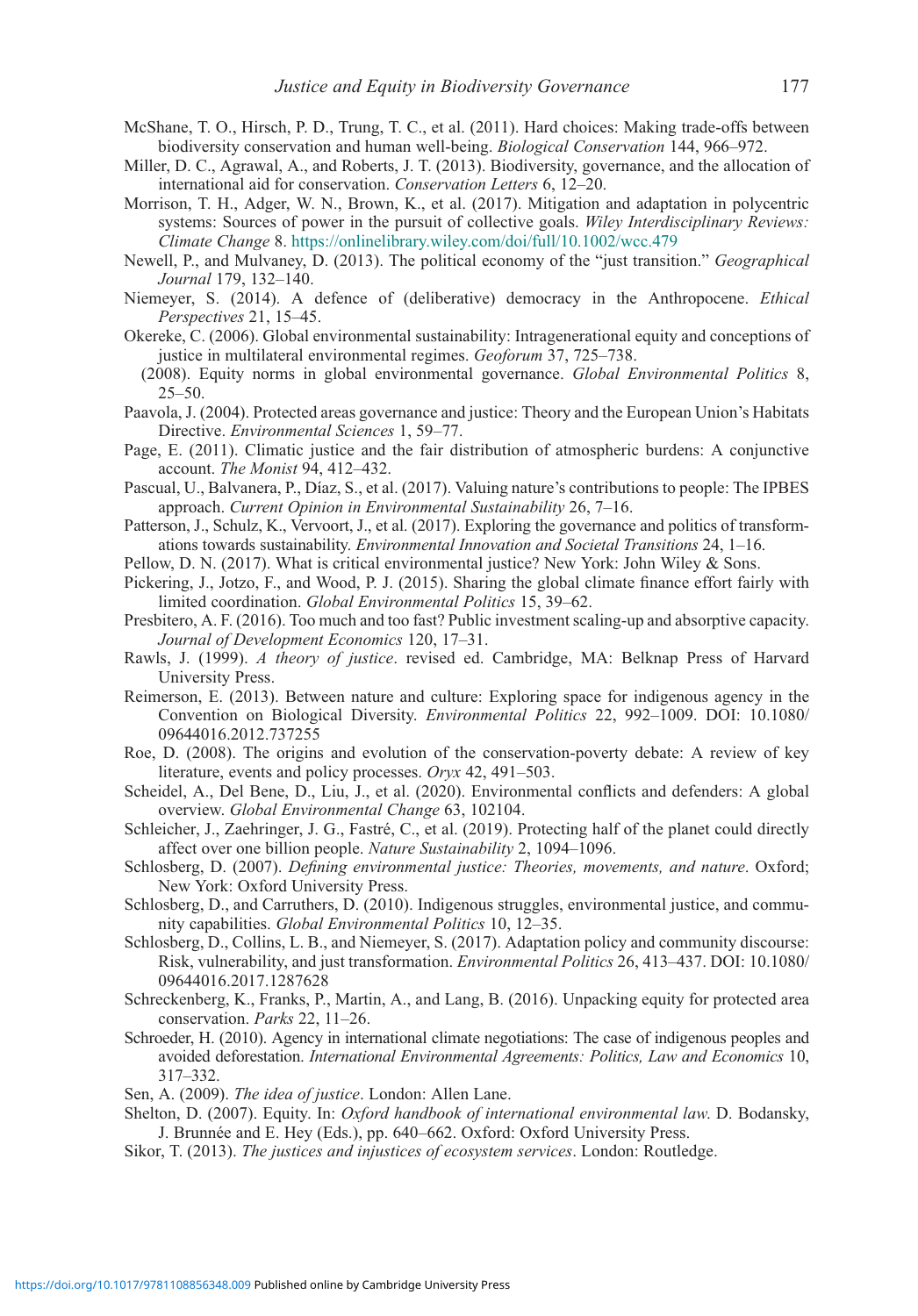- McShane, T. O., Hirsch, P. D., Trung, T. C., et al. (2011). Hard choices: Making trade-offs between biodiversity conservation and human well-being. Biological Conservation 144, 966–972.
- Miller, D. C., Agrawal, A., and Roberts, J. T. (2013). Biodiversity, governance, and the allocation of international aid for conservation. Conservation Letters 6, 12–20.
- Morrison, T. H., Adger, W. N., Brown, K., et al. (2017). Mitigation and adaptation in polycentric systems: Sources of power in the pursuit of collective goals. Wiley Interdisciplinary Reviews: Climate Change 8. <https://onlinelibrary.wiley.com/doi/full/10.1002/wcc.479>
- Newell, P., and Mulvaney, D. (2013). The political economy of the "just transition." Geographical Journal 179, 132–140.
- Niemeyer, S. (2014). A defence of (deliberative) democracy in the Anthropocene. *Ethical* Perspectives 21, 15–45.
- Okereke, C. (2006). Global environmental sustainability: Intragenerational equity and conceptions of justice in multilateral environmental regimes. Geoforum 37, 725–738.
- (2008). Equity norms in global environmental governance. Global Environmental Politics 8, 25–50.
- Paavola, J. (2004). Protected areas governance and justice: Theory and the European Union's Habitats Directive. Environmental Sciences 1, 59–77.
- Page, E. (2011). Climatic justice and the fair distribution of atmospheric burdens: A conjunctive account. The Monist 94, 412–432.
- Pascual, U., Balvanera, P., Díaz, S., et al. (2017). Valuing nature's contributions to people: The IPBES approach. Current Opinion in Environmental Sustainability 26, 7–16.
- Patterson, J., Schulz, K., Vervoort, J., et al. (2017). Exploring the governance and politics of transformations towards sustainability. Environmental Innovation and Societal Transitions 24, 1–16.
- Pellow, D. N. (2017). What is critical environmental justice? New York: John Wiley & Sons.
- Pickering, J., Jotzo, F., and Wood, P. J. (2015). Sharing the global climate finance effort fairly with limited coordination. Global Environmental Politics 15, 39–62.
- Presbitero, A. F. (2016). Too much and too fast? Public investment scaling-up and absorptive capacity. Journal of Development Economics 120, 17–31.
- Rawls, J. (1999). A theory of justice. revised ed. Cambridge, MA: Belknap Press of Harvard University Press.
- Reimerson, E. (2013). Between nature and culture: Exploring space for indigenous agency in the Convention on Biological Diversity. Environmental Politics 22, 992–1009. DOI: 10.1080/ 09644016.2012.737255
- Roe, D. (2008). The origins and evolution of the conservation-poverty debate: A review of key literature, events and policy processes. Oryx 42, 491–503.
- Scheidel, A., Del Bene, D., Liu, J., et al. (2020). Environmental conflicts and defenders: A global overview. Global Environmental Change 63, 102104.
- Schleicher, J., Zaehringer, J. G., Fastré, C., et al. (2019). Protecting half of the planet could directly affect over one billion people. Nature Sustainability 2, 1094–1096.
- Schlosberg, D. (2007). Defining environmental justice: Theories, movements, and nature. Oxford; New York: Oxford University Press.
- Schlosberg, D., and Carruthers, D. (2010). Indigenous struggles, environmental justice, and community capabilities. Global Environmental Politics 10, 12–35.
- Schlosberg, D., Collins, L. B., and Niemeyer, S. (2017). Adaptation policy and community discourse: Risk, vulnerability, and just transformation. Environmental Politics 26, 413–437. DOI: 10.1080/ 09644016.2017.1287628
- Schreckenberg, K., Franks, P., Martin, A., and Lang, B. (2016). Unpacking equity for protected area conservation. Parks 22, 11–26.
- Schroeder, H. (2010). Agency in international climate negotiations: The case of indigenous peoples and avoided deforestation. International Environmental Agreements: Politics, Law and Economics 10, 317–332.
- Sen, A. (2009). The idea of justice. London: Allen Lane.
- Shelton, D. (2007). Equity. In: Oxford handbook of international environmental law. D. Bodansky, J. Brunnée and E. Hey (Eds.), pp. 640–662. Oxford: Oxford University Press.
- Sikor, T. (2013). The justices and injustices of ecosystem services. London: Routledge.